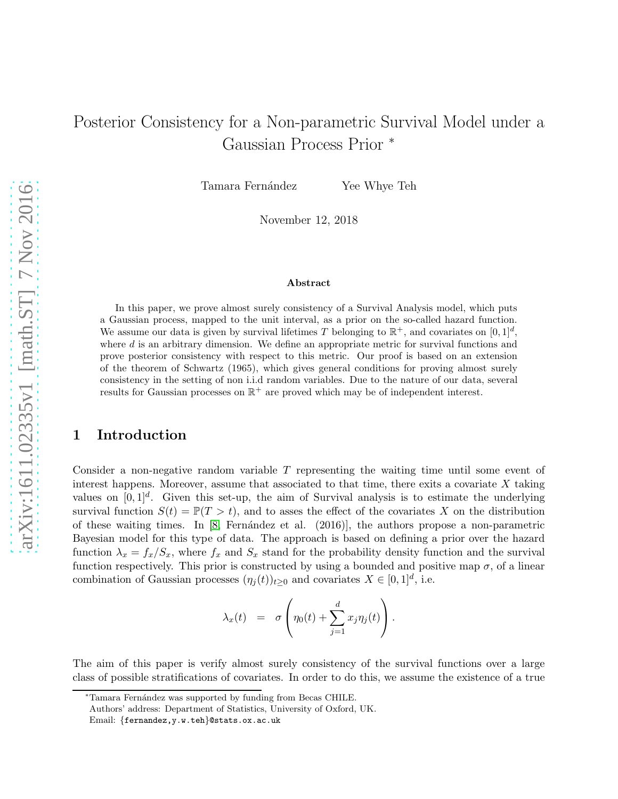# Posterior Consistency for a Non-parametric Survival Model under a Gaussian Process Prior <sup>∗</sup>

Tamara Fernández Yee Whye Teh

November 12, 2018

#### Abstract

In this paper, we prove almost surely consistency of a Survival Analysis model, which puts a Gaussian process, mapped to the unit interval, as a prior on the so-called hazard function. We assume our data is given by survival lifetimes T belonging to  $\mathbb{R}^+$ , and covariates on  $[0,1]^d$ , where  $d$  is an arbitrary dimension. We define an appropriate metric for survival functions and prove posterior consistency with respect to this metric. Our proof is based on an extension of the theorem of Schwartz (1965), which gives general conditions for proving almost surely consistency in the setting of non i.i.d random variables. Due to the nature of our data, several results for Gaussian processes on  $\mathbb{R}^+$  are proved which may be of independent interest.

## 1 Introduction

Consider a non-negative random variable T representing the waiting time until some event of interest happens. Moreover, assume that associated to that time, there exits a covariate  $X$  taking values on  $[0,1]^d$ . Given this set-up, the aim of Survival analysis is to estimate the underlying survival function  $S(t) = \mathbb{P}(T > t)$ , and to asses the effect of the covariates X on the distribution of these waiting times. In  $[8, \text{Fernández et al. } (2016)]$ , the authors propose a non-parametric Bayesian model for this type of data. The approach is based on defining a prior over the hazard function  $\lambda_x = f_x/S_x$ , where  $f_x$  and  $S_x$  stand for the probability density function and the survival function respectively. This prior is constructed by using a bounded and positive map  $\sigma$ , of a linear combination of Gaussian processes  $(\eta_j(t))_{t\geq 0}$  and covariates  $X \in [0,1]^d$ , i.e.

$$
\lambda_x(t) = \sigma \left( \eta_0(t) + \sum_{j=1}^d x_j \eta_j(t) \right).
$$

The aim of this paper is verify almost surely consistency of the survival functions over a large class of possible stratifications of covariates. In order to do this, we assume the existence of a true

<sup>∗</sup>Tamara Fern´andez was supported by funding from Becas CHILE.

Authors' address: Department of Statistics, University of Oxford, UK.

Email: {fernandez,y.w.teh}@stats.ox.ac.uk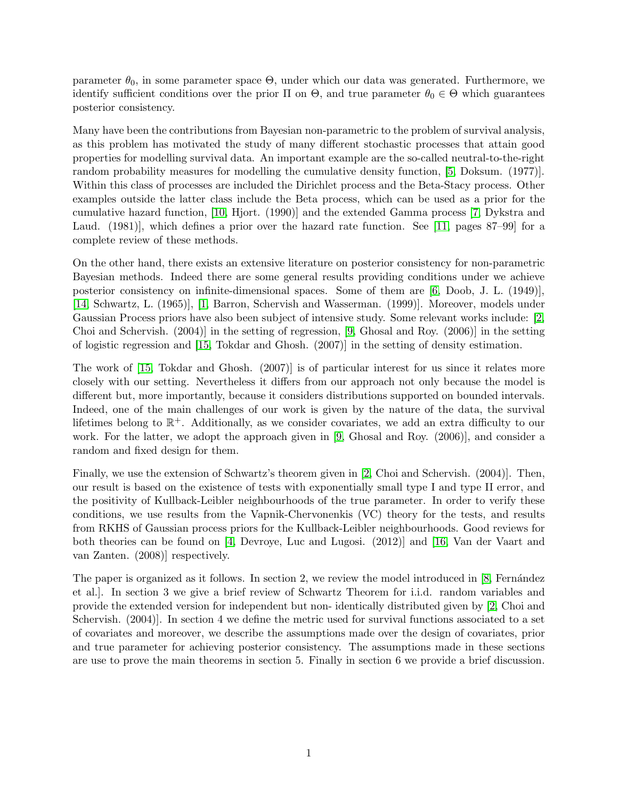parameter  $\theta_0$ , in some parameter space  $\Theta$ , under which our data was generated. Furthermore, we identify sufficient conditions over the prior  $\Pi$  on  $\Theta$ , and true parameter  $\theta_0 \in \Theta$  which guarantees posterior consistency.

Many have been the contributions from Bayesian non-parametric to the problem of survival analysis, as this problem has motivated the study of many different stochastic processes that attain good properties for modelling survival data. An important example are the so-called neutral-to-the-right random probability measures for modelling the cumulative density function, [\[5,](#page-31-1) Doksum. (1977)]. Within this class of processes are included the Dirichlet process and the Beta-Stacy process. Other examples outside the latter class include the Beta process, which can be used as a prior for the cumulative hazard function, [\[10,](#page-31-2) Hjort. (1990)] and the extended Gamma process [\[7,](#page-31-3) Dykstra and Laud. (1981), which defines a prior over the hazard rate function. See [\[11,](#page-31-4) pages 87–99] for a complete review of these methods.

On the other hand, there exists an extensive literature on posterior consistency for non-parametric Bayesian methods. Indeed there are some general results providing conditions under we achieve posterior consistency on infinite-dimensional spaces. Some of them are [\[6,](#page-31-5) Doob, J. L. (1949)], [\[14,](#page-31-6) Schwartz, L. (1965)], [\[1,](#page-31-7) Barron, Schervish and Wasserman. (1999)]. Moreover, models under Gaussian Process priors have also been subject of intensive study. Some relevant works include: [\[2,](#page-31-8) Choi and Schervish. (2004)] in the setting of regression, [\[9,](#page-31-9) Ghosal and Roy. (2006)] in the setting of logistic regression and [\[15,](#page-31-10) Tokdar and Ghosh. (2007)] in the setting of density estimation.

The work of [\[15,](#page-31-10) Tokdar and Ghosh. (2007)] is of particular interest for us since it relates more closely with our setting. Nevertheless it differs from our approach not only because the model is different but, more importantly, because it considers distributions supported on bounded intervals. Indeed, one of the main challenges of our work is given by the nature of the data, the survival lifetimes belong to  $\mathbb{R}^+$ . Additionally, as we consider covariates, we add an extra difficulty to our work. For the latter, we adopt the approach given in [\[9,](#page-31-9) Ghosal and Roy. (2006)], and consider a random and fixed design for them.

Finally, we use the extension of Schwartz's theorem given in [\[2,](#page-31-8) Choi and Schervish. (2004)]. Then, our result is based on the existence of tests with exponentially small type I and type II error, and the positivity of Kullback-Leibler neighbourhoods of the true parameter. In order to verify these conditions, we use results from the Vapnik-Chervonenkis (VC) theory for the tests, and results from RKHS of Gaussian process priors for the Kullback-Leibler neighbourhoods. Good reviews for both theories can be found on [\[4,](#page-31-11) Devroye, Luc and Lugosi. (2012)] and [\[16,](#page-31-12) Van der Vaart and van Zanten. (2008)] respectively.

The paper is organized as it follows. In section 2, we review the model introduced in [\[8,](#page-31-0) Fernández] et al.]. In section 3 we give a brief review of Schwartz Theorem for i.i.d. random variables and provide the extended version for independent but non- identically distributed given by [\[2,](#page-31-8) Choi and Schervish. (2004)]. In section 4 we define the metric used for survival functions associated to a set of covariates and moreover, we describe the assumptions made over the design of covariates, prior and true parameter for achieving posterior consistency. The assumptions made in these sections are use to prove the main theorems in section 5. Finally in section 6 we provide a brief discussion.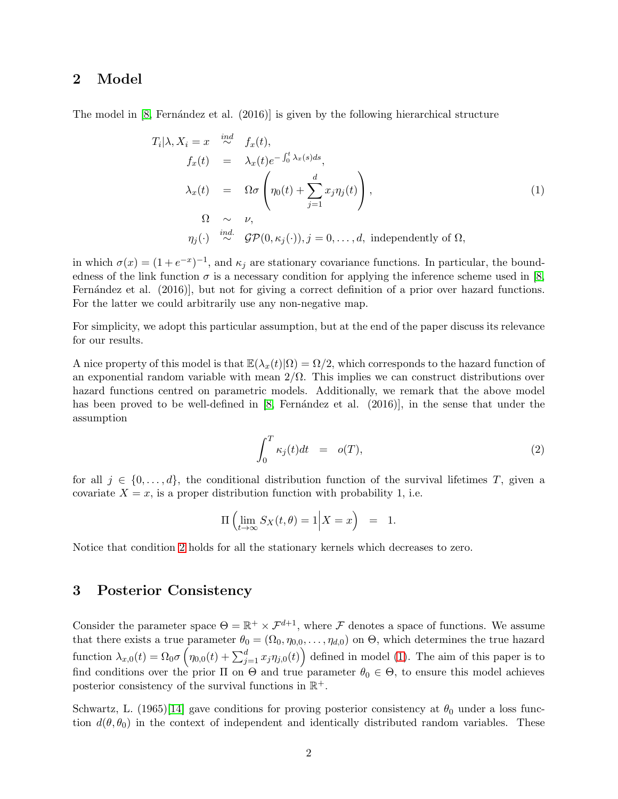### 2 Model

The model in  $[8,$  Fernández et al.  $(2016)$  is given by the following hierarchical structure

<span id="page-2-1"></span>
$$
T_i | \lambda, X_i = x \stackrel{ind}{\sim} f_x(t),
$$
  
\n
$$
f_x(t) = \lambda_x(t) e^{-\int_0^t \lambda_x(s) ds},
$$
  
\n
$$
\lambda_x(t) = \Omega \sigma \left( \eta_0(t) + \sum_{j=1}^d x_j \eta_j(t) \right),
$$
  
\n
$$
\Omega \sim \nu,
$$
  
\n
$$
\eta_j(\cdot) \stackrel{ind.}{\sim} \mathcal{GP}(0, \kappa_j(\cdot)), j = 0, \dots, d,
$$
 independently of  $\Omega,$ 

in which  $\sigma(x) = (1 + e^{-x})^{-1}$ , and  $\kappa_j$  are stationary covariance functions. In particular, the boundedness of the link function  $\sigma$  is a necessary condition for applying the inference scheme used in [\[8,](#page-31-0) Fernández et al. (2016), but not for giving a correct definition of a prior over hazard functions. For the latter we could arbitrarily use any non-negative map.

For simplicity, we adopt this particular assumption, but at the end of the paper discuss its relevance for our results.

A nice property of this model is that  $\mathbb{E}(\lambda_x(t)|\Omega) = \Omega/2$ , which corresponds to the hazard function of an exponential random variable with mean  $2/\Omega$ . This implies we can construct distributions over hazard functions centred on parametric models. Additionally, we remark that the above model has been proved to be well-defined in  $[8,$  Fernández et al.  $(2016)$ ], in the sense that under the assumption

<span id="page-2-0"></span>
$$
\int_0^T \kappa_j(t)dt = o(T), \tag{2}
$$

for all  $j \in \{0, \ldots, d\}$ , the conditional distribution function of the survival lifetimes T, given a covariate  $X = x$ , is a proper distribution function with probability 1, i.e.

$$
\Pi\left(\lim_{t\to\infty}S_X(t,\theta)=1\Big|X=x\right) = 1.
$$

Notice that condition [2](#page-2-0) holds for all the stationary kernels which decreases to zero.

## 3 Posterior Consistency

Consider the parameter space  $\Theta = \mathbb{R}^+ \times \mathcal{F}^{d+1}$ , where  $\mathcal F$  denotes a space of functions. We assume that there exists a true parameter  $\theta_0 = (\Omega_0, \eta_{0,0}, \dots, \eta_{d,0})$  on  $\Theta$ , which determines the true hazard function  $\lambda_{x,0}(t) = \Omega_0 \sigma \left( \eta_{0,0}(t) + \sum_{j=1}^d x_j \eta_{j,0}(t) \right)$  defined in model [\(1\)](#page-2-1). The aim of this paper is to find conditions over the prior  $\Pi$  on  $\Theta$  and true parameter  $\theta_0 \in \Theta$ , to ensure this model achieves posterior consistency of the survival functions in  $\mathbb{R}^+$ .

Schwartz, L. (1965)[\[14\]](#page-31-6) gave conditions for proving posterior consistency at  $\theta_0$  under a loss function  $d(\theta, \theta_0)$  in the context of independent and identically distributed random variables. These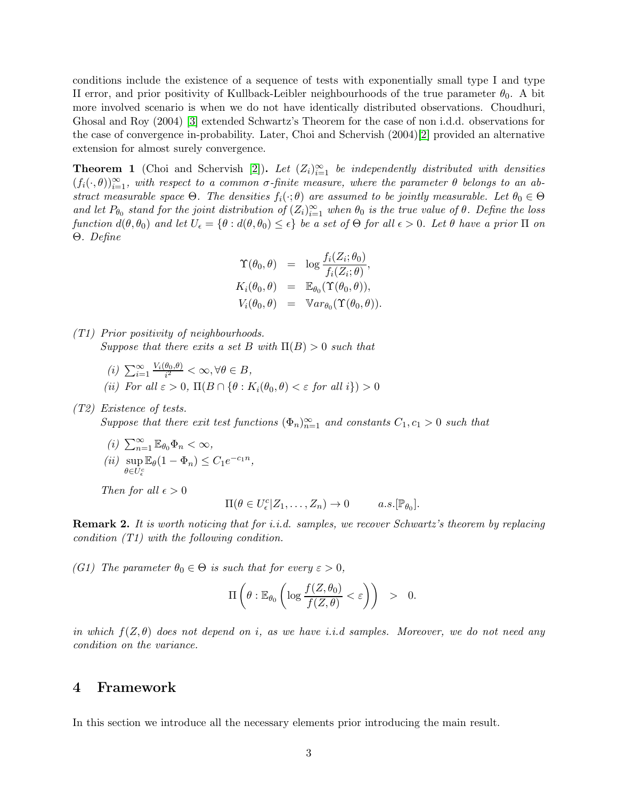conditions include the existence of a sequence of tests with exponentially small type I and type II error, and prior positivity of Kullback-Leibler neighbourhoods of the true parameter  $\theta_0$ . A bit more involved scenario is when we do not have identically distributed observations. Choudhuri, Ghosal and Roy (2004) [\[3\]](#page-31-13) extended Schwartz's Theorem for the case of non i.d.d. observations for the case of convergence in-probability. Later, Choi and Schervish (2004)[\[2\]](#page-31-8) provided an alternative extension for almost surely convergence.

<span id="page-3-0"></span>**Theorem 1** (Choi and Schervish [\[2\]](#page-31-8)). Let  $(Z_i)_{i=1}^{\infty}$  be independently distributed with densities  $(f_i(\cdot,\theta))_{i=1}^{\infty}$ , with respect to a common  $\sigma$ -finite measure, where the parameter  $\theta$  belongs to an ab*stract measurable space*  $\Theta$ . The densities  $f_i(\cdot; \theta)$  *are assumed to be jointly measurable. Let*  $\theta_0 \in \Theta$ *and let*  $P_{\theta_0}$  *stand for the joint distribution of*  $(Z_i)_{i=1}^{\infty}$  *when*  $\theta_0$  *is the true value of*  $\theta$ *. Define the loss function*  $d(\theta, \theta_0)$  *and let*  $U_{\epsilon} = \{\theta : d(\theta, \theta_0) \leq \epsilon\}$  *be a set of*  $\Theta$  *for all*  $\epsilon > 0$ *. Let*  $\theta$  *have a prior*  $\Pi$  *on* Θ*. Define*

$$
\begin{array}{rcl}\n\Upsilon(\theta_0, \theta) & = & \log \frac{f_i(Z_i; \theta_0)}{f_i(Z_i; \theta)}, \\
K_i(\theta_0, \theta) & = & \mathbb{E}_{\theta_0}(\Upsilon(\theta_0, \theta)), \\
V_i(\theta_0, \theta) & = & \mathbb{V}ar_{\theta_0}(\Upsilon(\theta_0, \theta)).\n\end{array}
$$

*(T1) Prior positivity of neighbourhoods. Suppose that there exits a set* B *with* Π(B) > 0 *such that*

- $(i)$   $\sum_{i=1}^{\infty} \frac{V_i(\theta_0, \theta)}{i^2}$  $\frac{\sigma_0, \sigma)}{i^2} < \infty, \forall \theta \in B,$
- *(ii)* For all  $\varepsilon > 0$ ,  $\Pi(B \cap {\theta : K_i(\theta_0, \theta) < \varepsilon$  for all  $i) > 0$
- *(T2) Existence of tests.*

*Suppose that there exit test functions*  $(\Phi_n)_{n=1}^{\infty}$  *and constants*  $C_1, c_1 > 0$  *such that* 

 $(i)$   $\sum_{n=1}^{\infty} \mathbb{E}_{\theta_0} \Phi_n < \infty$ , *(ii)* sup  $\theta \in U^c_\epsilon$  $\mathbb{E}_{\theta}(1-\Phi_n) \leq C_1 e^{-c_1 n},$ 

*Then for all*  $\epsilon > 0$ 

$$
\Pi(\theta \in U_{\epsilon}^c | Z_1, \ldots, Z_n) \to 0 \quad a.s. [\mathbb{P}_{\theta_0}].
$$

Remark 2. *It is worth noticing that for i.i.d. samples, we recover Schwartz's theorem by replacing condition (T1) with the following condition.*

*(G1)* The parameter  $\theta_0 \in \Theta$  *is such that for every*  $\varepsilon > 0$ *,* 

$$
\Pi\left(\theta:\mathbb{E}_{\theta_0}\left(\log\frac{f(Z,\theta_0)}{f(Z,\theta)}<\varepsilon\right)\right) > 0.
$$

*in which* f(Z, θ) *does not depend on* i*, as we have i.i.d samples. Moreover, we do not need any condition on the variance.*

## 4 Framework

In this section we introduce all the necessary elements prior introducing the main result.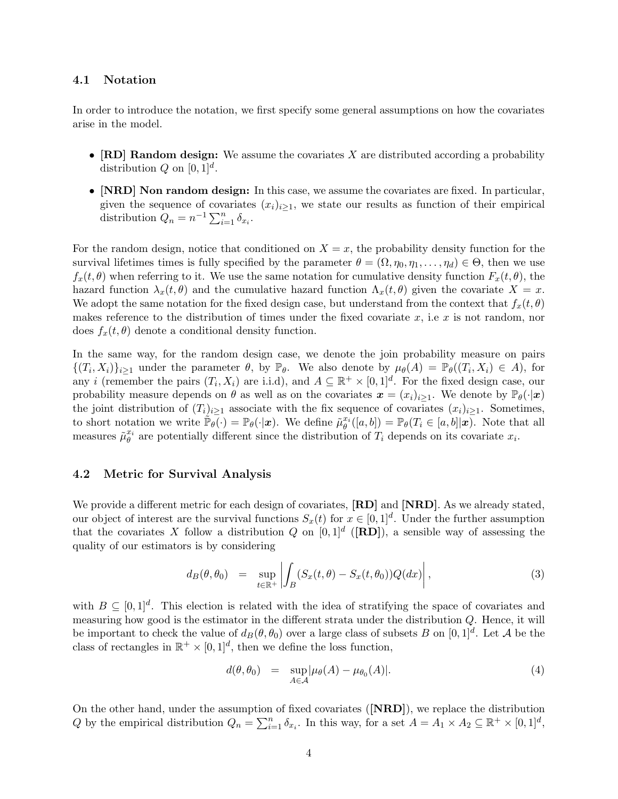#### 4.1 Notation

In order to introduce the notation, we first specify some general assumptions on how the covariates arise in the model.

- $[RD]$  Random design: We assume the covariates X are distributed according a probability distribution Q on  $[0,1]^d$ .
- [NRD] Non random design: In this case, we assume the covariates are fixed. In particular, given the sequence of covariates  $(x_i)_{i\geq 1}$ , we state our results as function of their empirical distribution  $Q_n = n^{-1} \sum_{i=1}^n \delta_{x_i}$ .

For the random design, notice that conditioned on  $X = x$ , the probability density function for the survival lifetimes times is fully specified by the parameter  $\theta = (\Omega, \eta_0, \eta_1, \dots, \eta_d) \in \Theta$ , then we use  $f_x(t, \theta)$  when referring to it. We use the same notation for cumulative density function  $F_x(t, \theta)$ , the hazard function  $\lambda_x(t, \theta)$  and the cumulative hazard function  $\Lambda_x(t, \theta)$  given the covariate  $X = x$ . We adopt the same notation for the fixed design case, but understand from the context that  $f_x(t, \theta)$ makes reference to the distribution of times under the fixed covariate  $x$ , i.e  $x$  is not random, nor does  $f_x(t, \theta)$  denote a conditional density function.

In the same way, for the random design case, we denote the join probability measure on pairs  $\{(T_i, X_i)\}_{i\geq 1}$  under the parameter  $\theta$ , by  $\mathbb{P}_{\theta}$ . We also denote by  $\mu_{\theta}(A) = \mathbb{P}_{\theta}((T_i, X_i) \in A)$ , for any *i* (remember the pairs  $(T_i, X_i)$  are i.i.d), and  $A \subseteq \mathbb{R}^+ \times [0, 1]^d$ . For the fixed design case, our probability measure depends on  $\theta$  as well as on the covariates  $\mathbf{x} = (x_i)_{i\geq 1}$ . We denote by  $\mathbb{P}_{\theta}(\cdot|\mathbf{x})$ the joint distribution of  $(T_i)_{i\geq 1}$  associate with the fix sequence of covariates  $(x_i)_{i\geq 1}$ . Sometimes, to short notation we write  $\mathbb{P}_{\theta}(\cdot) = \mathbb{P}_{\theta}(\cdot | \boldsymbol{x})$ . We define  $\tilde{\mu}_{\theta}^{x_i}([a, b]) = \mathbb{P}_{\theta}(T_i \in [a, b] | \boldsymbol{x})$ . Note that all measures  $\tilde{\mu}_{\theta}^{x_i}$  are potentially different since the distribution of  $T_i$  depends on its covariate  $x_i$ .

#### 4.2 Metric for Survival Analysis

We provide a different metric for each design of covariates,  $[RD]$  and  $[NRD]$ . As we already stated, our object of interest are the survival functions  $S_x(t)$  for  $x \in [0,1]^d$ . Under the further assumption that the covariates X follow a distribution Q on  $[0,1]^d$  ([RD]), a sensible way of assessing the quality of our estimators is by considering

$$
d_B(\theta, \theta_0) = \sup_{t \in \mathbb{R}^+} \left| \int_B (S_x(t, \theta) - S_x(t, \theta_0)) Q(dx) \right|,
$$
\n(3)

with  $B \subseteq [0,1]^d$ . This election is related with the idea of stratifying the space of covariates and measuring how good is the estimator in the different strata under the distribution Q. Hence, it will be important to check the value of  $d_B(\theta, \theta_0)$  over a large class of subsets B on  $[0, 1]^d$ . Let A be the class of rectangles in  $\mathbb{R}^+ \times [0,1]^d$ , then we define the loss function,

<span id="page-4-0"></span>
$$
d(\theta, \theta_0) = \sup_{A \in \mathcal{A}} |\mu_{\theta}(A) - \mu_{\theta_0}(A)|. \tag{4}
$$

On the other hand, under the assumption of fixed covariates ([NRD]), we replace the distribution Q by the empirical distribution  $Q_n = \sum_{i=1}^n \delta_{x_i}$ . In this way, for a set  $A = A_1 \times A_2 \subseteq \mathbb{R}^+ \times [0,1]^d$ ,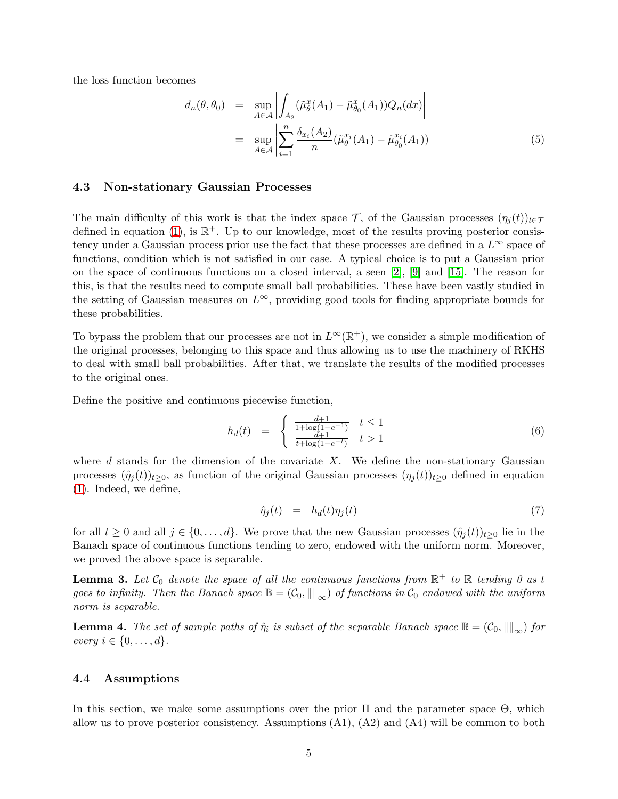the loss function becomes

<span id="page-5-0"></span>
$$
d_n(\theta, \theta_0) = \sup_{A \in \mathcal{A}} \left| \int_{A_2} (\tilde{\mu}_{\theta}^x(A_1) - \tilde{\mu}_{\theta_0}^x(A_1)) Q_n(dx) \right|
$$
  

$$
= \sup_{A \in \mathcal{A}} \left| \sum_{i=1}^n \frac{\delta_{x_i}(A_2)}{n} (\tilde{\mu}_{\theta}^{x_i}(A_1) - \tilde{\mu}_{\theta_0}^{x_i}(A_1)) \right|
$$
(5)

#### 4.3 Non-stationary Gaussian Processes

The main difficulty of this work is that the index space T, of the Gaussian processes  $(\eta_i(t))_{t\in\mathcal{T}}$ defined in equation [\(1\)](#page-2-1), is  $\mathbb{R}^+$ . Up to our knowledge, most of the results proving posterior consistency under a Gaussian process prior use the fact that these processes are defined in a  $L^{\infty}$  space of functions, condition which is not satisfied in our case. A typical choice is to put a Gaussian prior on the space of continuous functions on a closed interval, a seen [\[2\]](#page-31-8), [\[9\]](#page-31-9) and [\[15\]](#page-31-10). The reason for this, is that the results need to compute small ball probabilities. These have been vastly studied in the setting of Gaussian measures on  $L^{\infty}$ , providing good tools for finding appropriate bounds for these probabilities.

To bypass the problem that our processes are not in  $L^{\infty}(\mathbb{R}^{+})$ , we consider a simple modification of the original processes, belonging to this space and thus allowing us to use the machinery of RKHS to deal with small ball probabilities. After that, we translate the results of the modified processes to the original ones.

Define the positive and continuous piecewise function,

<span id="page-5-5"></span>
$$
h_d(t) = \begin{cases} \frac{d+1}{1+\log(1-e^{-1})} & t \le 1\\ \frac{d+1}{t+\log(1-e^{-t})} & t > 1 \end{cases} \tag{6}
$$

where  $d$  stands for the dimension of the covariate  $X$ . We define the non-stationary Gaussian processes  $(\hat{\eta}_j(t))_{t\geq0}$ , as function of the original Gaussian processes  $(\eta_j(t))_{t\geq0}$  defined in equation [\(1\)](#page-2-1). Indeed, we define,

<span id="page-5-1"></span>
$$
\hat{\eta}_j(t) = h_d(t)\eta_j(t) \tag{7}
$$

for all  $t \geq 0$  and all  $j \in \{0, \ldots, d\}$ . We prove that the new Gaussian processes  $(\hat{\eta}_j(t))_{t \geq 0}$  lie in the Banach space of continuous functions tending to zero, endowed with the uniform norm. Moreover, we proved the above space is separable.

<span id="page-5-4"></span>**Lemma 3.** Let  $\mathcal{C}_0$  denote the space of all the continuous functions from  $\mathbb{R}^+$  to  $\mathbb{R}$  tending 0 as t *goes to infinity. Then the Banach space*  $\mathbb{B} = (\mathcal{C}_0, \|\|_{\infty})$  *of functions in*  $\mathcal{C}_0$  *endowed with the uniform norm is separable.*

<span id="page-5-2"></span>**Lemma 4.** The set of sample paths of  $\hat{\eta}_i$  is subset of the separable Banach space  $\mathbb{B} = (\mathcal{C}_0, \|\|_{\infty})$  for *every*  $i \in \{0, ..., d\}$ .

#### <span id="page-5-3"></span>4.4 Assumptions

In this section, we make some assumptions over the prior  $\Pi$  and the parameter space  $\Theta$ , which allow us to prove posterior consistency. Assumptions  $(A1)$ ,  $(A2)$  and  $(A4)$  will be common to both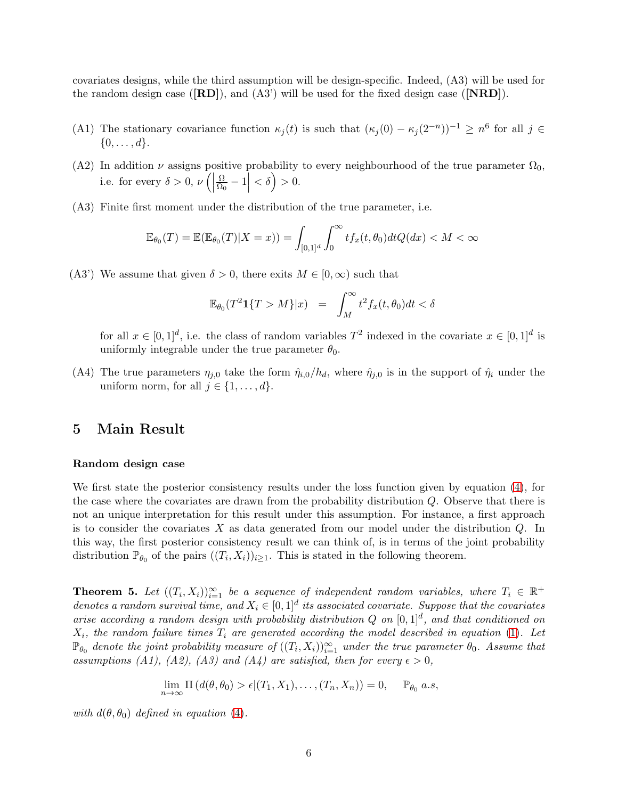covariates designs, while the third assumption will be design-specific. Indeed, (A3) will be used for the random design case  $([RD])$ , and  $(A3')$  will be used for the fixed design case  $([NRD])$ .

- (A1) The stationary covariance function  $\kappa_j(t)$  is such that  $(\kappa_j(0) \kappa_j(2^{-n}))^{-1} \geq n^6$  for all  $j \in$  $\{0,\ldots,d\}.$
- (A2) In addition  $\nu$  assigns positive probability to every neighbourhood of the true parameter  $\Omega_0$ , i.e. for every  $\delta > 0, \nu$  (  $\Omega$  $\left|\frac{\Omega}{\Omega_0}-1\right|<\delta$ ) > 0.
- (A3) Finite first moment under the distribution of the true parameter, i.e.

$$
\mathbb{E}_{\theta_0}(T) = \mathbb{E}(\mathbb{E}_{\theta_0}(T)|X=x)) = \int_{[0,1]^d} \int_0^\infty t f_x(t,\theta_0) dt Q(dx) < M < \infty
$$

(A3') We assume that given  $\delta > 0$ , there exits  $M \in [0,\infty)$  such that

$$
\mathbb{E}_{\theta_0}(T^2 \mathbf{1}\{T > M\}|x) = \int_M^\infty t^2 f_x(t, \theta_0) dt < \delta
$$

for all  $x \in [0,1]^d$ , i.e. the class of random variables  $T^2$  indexed in the covariate  $x \in [0,1]^d$  is uniformly integrable under the true parameter  $\theta_0$ .

(A4) The true parameters  $\eta_{i,0}$  take the form  $\hat{\eta}_{i,0}/h_d$ , where  $\hat{\eta}_{i,0}$  is in the support of  $\hat{\eta}_i$  under the uniform norm, for all  $j \in \{1, \ldots, d\}$ .

## 5 Main Result

#### Random design case

We first state the posterior consistency results under the loss function given by equation [\(4\)](#page-4-0), for the case where the covariates are drawn from the probability distribution Q. Observe that there is not an unique interpretation for this result under this assumption. For instance, a first approach is to consider the covariates  $X$  as data generated from our model under the distribution  $Q$ . In this way, the first posterior consistency result we can think of, is in terms of the joint probability distribution  $\mathbb{P}_{\theta_0}$  of the pairs  $((T_i, X_i))_{i\geq 1}$ . This is stated in the following theorem.

<span id="page-6-0"></span>**Theorem 5.** Let  $((T_i, X_i))_{i=1}^{\infty}$  be a sequence of independent random variables, where  $T_i \in \mathbb{R}^+$ *denotes a random survival time, and*  $X_i \in [0,1]^d$  *its associated covariate. Suppose that the covariates arise according a random design with probability distribution*  $Q$  *on*  $[0,1]^d$ *, and that conditioned on*  $X_i$ , the random failure times  $T_i$  are generated according the model described in equation  $(1)$ . Let  $\mathbb{P}_{\theta_0}$  denote the joint probability measure of  $((T_i, X_i))_{i=1}^{\infty}$  under the true parameter  $\theta_0$ . Assume that assumptions (A1), (A2), (A3) and (A4) are satisfied, then for every  $\epsilon > 0$ ,

$$
\lim_{n \to \infty} \Pi (d(\theta, \theta_0) > \epsilon | (T_1, X_1), \dots, (T_n, X_n)) = 0, \quad \mathbb{P}_{\theta_0} \text{ a.s.}
$$

*with*  $d(\theta, \theta_0)$  *defined in equation* [\(4\)](#page-4-0).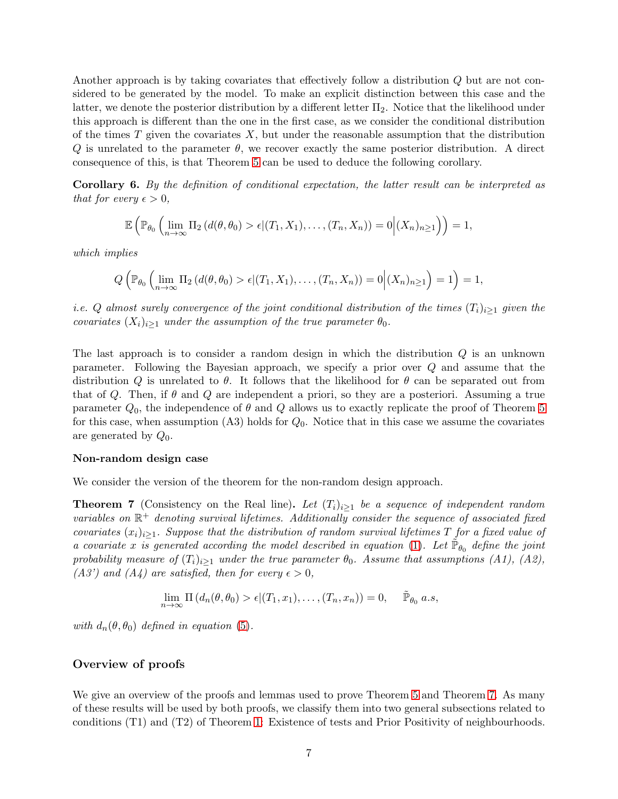Another approach is by taking covariates that effectively follow a distribution Q but are not considered to be generated by the model. To make an explicit distinction between this case and the latter, we denote the posterior distribution by a different letter  $\Pi_2$ . Notice that the likelihood under this approach is different than the one in the first case, as we consider the conditional distribution of the times  $T$  given the covariates  $X$ , but under the reasonable assumption that the distribution  $Q$  is unrelated to the parameter  $\theta$ , we recover exactly the same posterior distribution. A direct consequence of this, is that Theorem [5](#page-6-0) can be used to deduce the following corollary.

Corollary 6. *By the definition of conditional expectation, the latter result can be interpreted as that for every*  $\epsilon > 0$ *,* 

$$
\mathbb{E}\left(\mathbb{P}_{\theta_0}\left(\lim_{n\to\infty}\Pi_2\left(d(\theta,\theta_0)>\epsilon|(T_1,X_1),\ldots,(T_n,X_n)\right)=0\Big|(X_n)_{n\geq 1}\right)\right)=1,
$$

*which implies*

$$
Q\left(\mathbb{P}_{\theta_0}\left(\lim_{n\to\infty}\Pi_2\left(d(\theta,\theta_0)>\epsilon|(T_1,X_1),\ldots,(T_n,X_n)\right)=0\right|(X_n)_{n\geq 1}\right)=1\right)=1,
$$

*i.e.* Q almost surely convergence of the joint conditional distribution of the times  $(T_i)_{i\geq 1}$  *given the covariates*  $(X_i)_{i\geq 1}$  *under the assumption of the true parameter*  $\theta_0$ *.* 

The last approach is to consider a random design in which the distribution Q is an unknown parameter. Following the Bayesian approach, we specify a prior over Q and assume that the distribution Q is unrelated to  $\theta$ . It follows that the likelihood for  $\theta$  can be separated out from that of Q. Then, if  $\theta$  and Q are independent a priori, so they are a posteriori. Assuming a true parameter  $Q_0$ , the independence of  $\theta$  and  $Q$  allows us to exactly replicate the proof of Theorem [5](#page-6-0) for this case, when assumption  $(A3)$  holds for  $Q_0$ . Notice that in this case we assume the covariates are generated by  $Q_0$ .

#### Non-random design case

We consider the version of the theorem for the non-random design approach.

<span id="page-7-0"></span>**Theorem 7** (Consistency on the Real line). Let  $(T_i)_{i\geq 1}$  be a sequence of independent random  $variable$ s on  $\mathbb{R}^+$  denoting survival lifetimes. Additionally consider the sequence of associated fixed *covariates*  $(x_i)_{i\geq 1}$ *. Suppose that the distribution of random survival lifetimes* T *for a fixed value of a* covariate x is generated according the model described in equation [\(1\)](#page-2-1). Let  $\tilde{\mathbb{P}}_{\theta_0}$  define the joint *probability measure of*  $(T_i)_{i\geq 1}$  *under the true parameter*  $\theta_0$ *. Assume that assumptions (A1), (A2), (A3')* and *(A4)* are satisfied, then for every  $\epsilon > 0$ ,

$$
\lim_{n \to \infty} \Pi (d_n(\theta, \theta_0) > \epsilon | (T_1, x_1), \dots, (T_n, x_n)) = 0, \quad \tilde{\mathbb{P}}_{\theta_0} \text{ a.s.}
$$

*with*  $d_n(\theta, \theta_0)$  *defined in equation* [\(5\)](#page-5-0).

#### Overview of proofs

We give an overview of the proofs and lemmas used to prove Theorem [5](#page-6-0) and Theorem [7.](#page-7-0) As many of these results will be used by both proofs, we classify them into two general subsections related to conditions (T1) and (T2) of Theorem [1:](#page-3-0) Existence of tests and Prior Positivity of neighbourhoods.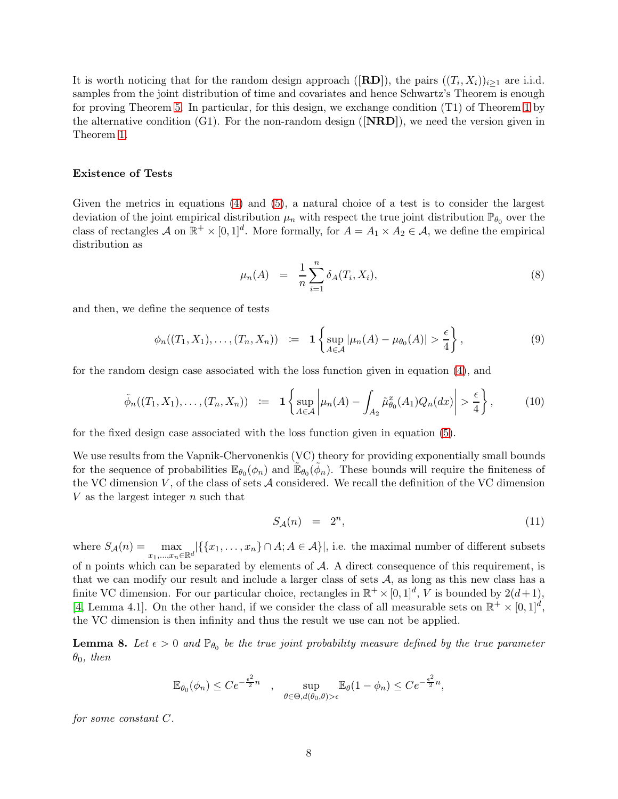It is worth noticing that for the random design approach ([RD]), the pairs  $((T_i, X_i))_{i \geq 1}$  are i.i.d. samples from the joint distribution of time and covariates and hence Schwartz's Theorem is enough for proving Theorem [5.](#page-6-0) In particular, for this design, we exchange condition (T1) of Theorem [1](#page-3-0) by the alternative condition  $(G1)$ . For the non-random design  $(|\mathbf{NRD}|)$ , we need the version given in Theorem [1.](#page-3-0)

#### Existence of Tests

Given the metrics in equations [\(4\)](#page-4-0) and [\(5\)](#page-5-0), a natural choice of a test is to consider the largest deviation of the joint empirical distribution  $\mu_n$  with respect the true joint distribution  $\mathbb{P}_{\theta_0}$  over the class of rectangles A on  $\mathbb{R}^+ \times [0,1]^d$ . More formally, for  $A = A_1 \times A_2 \in \mathcal{A}$ , we define the empirical distribution as

$$
\mu_n(A) = \frac{1}{n} \sum_{i=1}^n \delta_A(T_i, X_i), \tag{8}
$$

and then, we define the sequence of tests

$$
\phi_n((T_1, X_1), \dots, (T_n, X_n)) \quad := \quad 1 \left\{ \sup_{A \in \mathcal{A}} |\mu_n(A) - \mu_{\theta_0}(A)| > \frac{\epsilon}{4} \right\},\tag{9}
$$

for the random design case associated with the loss function given in equation [\(4\)](#page-4-0), and

$$
\tilde{\phi}_n((T_1, X_1), \dots, (T_n, X_n)) \quad := \quad \mathbf{1} \left\{ \sup_{A \in \mathcal{A}} \left| \mu_n(A) - \int_{A_2} \tilde{\mu}_{\theta_0}^x(A_1) Q_n(dx) \right| > \frac{\epsilon}{4} \right\},\tag{10}
$$

for the fixed design case associated with the loss function given in equation [\(5\)](#page-5-0).

We use results from the Vapnik-Chervonenkis (VC) theory for providing exponentially small bounds for the sequence of probabilities  $\mathbb{E}_{\theta_0}(\phi_n)$  and  $\tilde{\mathbb{E}}_{\theta_0}(\tilde{\phi}_n)$ . These bounds will require the finiteness of the VC dimension  $V$ , of the class of sets  $\mathcal A$  considered. We recall the definition of the VC dimension V as the largest integer  $n$  such that

<span id="page-8-1"></span>
$$
S_{\mathcal{A}}(n) = 2^n, \tag{11}
$$

where  $S_{\mathcal{A}}(n) = \max_{x_1,...,x_n \in \mathbb{R}^d} |\{\{x_1,...,x_n\} \cap A; A \in \mathcal{A}\}|$ , i.e. the maximal number of different subsets of n points which can be separated by elements of  $A$ . A direct consequence of this requirement, is that we can modify our result and include a larger class of sets  $A$ , as long as this new class has a finite VC dimension. For our particular choice, rectangles in  $\mathbb{R}^+ \times [0,1]^d$ , V is bounded by  $2(d+1)$ , [\[4,](#page-31-11) Lemma 4.1]. On the other hand, if we consider the class of all measurable sets on  $\mathbb{R}^+ \times [0,1]^d$ , the VC dimension is then infinity and thus the result we use can not be applied.

<span id="page-8-0"></span>**Lemma 8.** Let  $\epsilon > 0$  and  $\mathbb{P}_{\theta_0}$  be the true joint probability measure defined by the true parameter  $\theta_0$ , then

$$
\mathbb{E}_{\theta_0}(\phi_n) \leq C e^{-\frac{\epsilon^2}{2}n} \quad , \quad \sup_{\theta \in \Theta, d(\theta_0, \theta) > \epsilon} \mathbb{E}_{\theta}(1 - \phi_n) \leq C e^{-\frac{\epsilon^2}{2}n},
$$

*for some constant* C*.*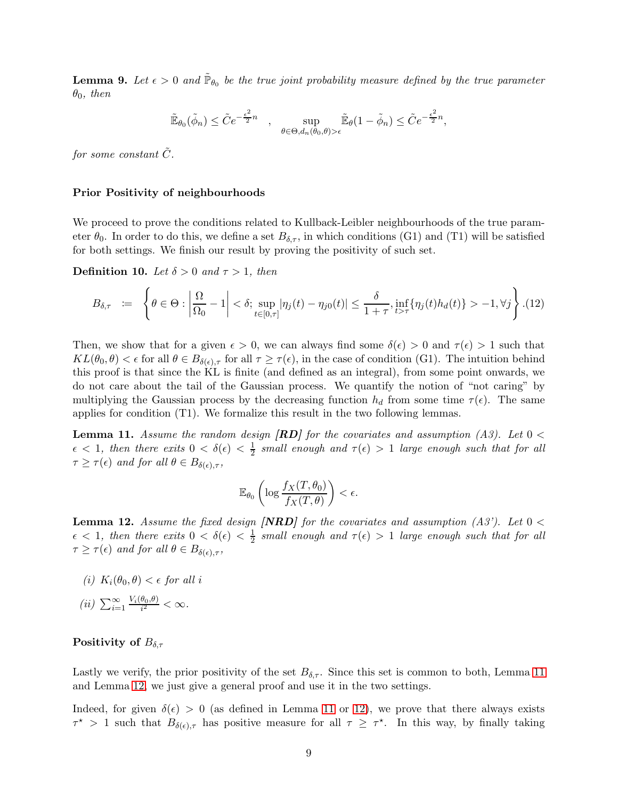<span id="page-9-2"></span>**Lemma 9.** Let  $\epsilon > 0$  and  $\tilde{\mathbb{P}}_{\theta_0}$  be the true joint probability measure defined by the true parameter  $\theta_0$ *, then* 

$$
\tilde{\mathbb{E}}_{\theta_0}(\tilde{\phi}_n)\leq \tilde{C}e^{-\frac{\epsilon^2}{2}n}\quad,\quad \sup_{\theta\in\Theta,d_n(\theta_0,\theta)>\epsilon}\tilde{\mathbb{E}}_{\theta}(1-\tilde{\phi}_n)\leq \tilde{C}e^{-\frac{\epsilon^2}{2}n},
$$

*for some constant*  $\tilde{C}$ *.* 

#### Prior Positivity of neighbourhoods

We proceed to prove the conditions related to Kullback-Leibler neighbourhoods of the true parameter  $\theta_0$ . In order to do this, we define a set  $B_{\delta,\tau}$ , in which conditions (G1) and (T1) will be satisfied for both settings. We finish our result by proving the positivity of such set.

**Definition 10.** Let  $\delta > 0$  and  $\tau > 1$ , then

$$
B_{\delta,\tau} \quad := \quad \left\{ \theta \in \Theta : \left| \frac{\Omega}{\Omega_0} - 1 \right| < \delta; \sup_{t \in [0,\tau]} |\eta_j(t) - \eta_{j0}(t)| \le \frac{\delta}{1 + \tau}, \inf_{t > \tau} \{\eta_j(t) h_d(t)\} > -1, \forall j \right\} . \tag{12}
$$

Then, we show that for a given  $\epsilon > 0$ , we can always find some  $\delta(\epsilon) > 0$  and  $\tau(\epsilon) > 1$  such that  $KL(\theta_0, \theta) < \epsilon$  for all  $\theta \in B_{\delta(\epsilon), \tau}$  for all  $\tau \geq \tau(\epsilon)$ , in the case of condition (G1). The intuition behind this proof is that since the KL is finite (and defined as an integral), from some point onwards, we do not care about the tail of the Gaussian process. We quantify the notion of "not caring" by multiplying the Gaussian process by the decreasing function  $h_d$  from some time  $\tau(\epsilon)$ . The same applies for condition (T1). We formalize this result in the two following lemmas.

<span id="page-9-0"></span>Lemma 11. *Assume the random design* [RD] *for the covariates and assumption (A3). Let* 0 <  $\epsilon$  < 1, then there exits  $0 < \delta(\epsilon) < \frac{1}{2}$  small enough and  $\tau(\epsilon) > 1$  large enough such that for all  $\tau \geq \tau(\epsilon)$  *and for all*  $\theta \in B_{\delta(\epsilon), \tau}$ *,* 

$$
\mathbb{E}_{\theta_0} \left( \log \frac{f_X(T, \theta_0)}{f_X(T, \theta)} \right) < \epsilon.
$$

<span id="page-9-1"></span>**Lemma 12.** Assume the fixed design **[NRD]** for the covariates and assumption  $(A3')$ . Let  $0 <$  $\epsilon$  < 1, then there exits  $0 < \delta(\epsilon) < \frac{1}{2}$  $\frac{1}{2}$  small enough and  $\tau(\epsilon) > 1$  *large enough such that for all*  $\tau \geq \tau(\epsilon)$  *and for all*  $\theta \in B_{\delta(\epsilon), \tau}$ ,

- *(i)*  $K_i(\theta_0, \theta) < \epsilon$  *for all i*
- $(ii)$   $\sum_{i=1}^{\infty} \frac{V_i(\theta_0, \theta)}{i^2}$  $\frac{\sigma_0,\sigma_1}{i^2} < \infty$ .

#### Positivity of  $B_{\delta,\tau}$

Lastly we verify, the prior positivity of the set  $B_{\delta,\tau}$ . Since this set is common to both, Lemma [11](#page-9-0) and Lemma [12,](#page-9-1) we just give a general proof and use it in the two settings.

Indeed, for given  $\delta(\epsilon) > 0$  (as defined in Lemma [11](#page-9-0) or [12\)](#page-9-1), we prove that there always exists  $\tau^*$  > 1 such that  $B_{\delta(\epsilon),\tau}$  has positive measure for all  $\tau \geq \tau^*$ . In this way, by finally taking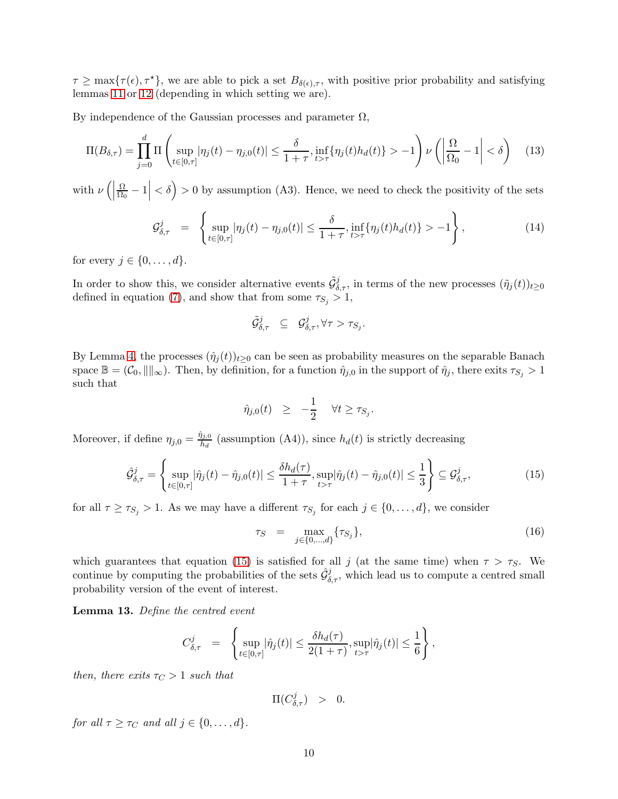$\tau \geq \max\{\tau(\epsilon), \tau^*\}$ , we are able to pick a set  $B_{\delta(\epsilon),\tau}$ , with positive prior probability and satisfying lemmas [11](#page-9-0) or [12](#page-9-1) (depending in which setting we are).

By independence of the Gaussian processes and parameter  $\Omega$ ,

$$
\Pi(B_{\delta,\tau}) = \prod_{j=0}^d \Pi\left(\sup_{t \in [0,\tau]} |\eta_j(t) - \eta_{j,0}(t)| \le \frac{\delta}{1+\tau}, \inf_{t > \tau} \{\eta_j(t)h_d(t)\} > -1\right) \nu\left(\left|\frac{\Omega}{\Omega_0} - 1\right| < \delta\right) \tag{13}
$$

with  $\nu$  (  $\Omega$  $\left|\frac{\Omega}{\Omega_0}-1\right|<\delta$  > 0 by assumption (A3). Hence, we need to check the positivity of the sets

$$
\mathcal{G}^{j}_{\delta,\tau} = \left\{ \sup_{t \in [0,\tau]} |\eta_j(t) - \eta_{j,0}(t)| \leq \frac{\delta}{1+\tau}, \inf_{t > \tau} \{ \eta_j(t) h_d(t) \} > -1 \right\},
$$
\n(14)

for every  $j \in \{0, \ldots, d\}$ .

In order to show this, we consider alternative events  $\tilde{\mathcal{G}}_{\delta,\tau}^j$ , in terms of the new processes  $(\tilde{\eta}_j(t))_{t\geq 0}$ defined in equation [\(7\)](#page-5-1), and show that from some  $\tau_{S_j} > 1$ ,

$$
\tilde{\mathcal{G}}_{\delta,\tau}^j \quad \subseteq \quad \mathcal{G}_{\delta,\tau}^j, \forall \tau > \tau_{S_j}.
$$

By Lemma [4,](#page-5-2) the processes  $(\hat{\eta}_i(t))_{t>0}$  can be seen as probability measures on the separable Banach space  $\mathbb{B} = (\mathcal{C}_0, \|\|_{\infty})$ . Then, by definition, for a function  $\hat{\eta}_{j,0}$  in the support of  $\hat{\eta}_j$ , there exits  $\tau_{S_j} > 1$ such that

$$
\hat{\eta}_{j,0}(t) \geq -\frac{1}{2} \quad \forall t \geq \tau_{S_j}
$$

Moreover, if define  $\eta_{j,0} = \frac{\hat{\eta}_{j,0}}{h_j}$  $\frac{h_i}{h_d}$  (assumption (A4)), since  $h_d(t)$  is strictly decreasing

<span id="page-10-0"></span>
$$
\hat{\mathcal{G}}_{\delta,\tau}^{j} = \left\{ \sup_{t \in [0,\tau]} |\hat{\eta}_j(t) - \hat{\eta}_{j,0}(t)| \le \frac{\delta h_d(\tau)}{1+\tau}, \sup_{t > \tau} |\hat{\eta}_j(t) - \hat{\eta}_{j,0}(t)| \le \frac{1}{3} \right\} \subseteq \mathcal{G}_{\delta,\tau}^{j},\tag{15}
$$

.

for all  $\tau \geq \tau_{S_j} > 1$ . As we may have a different  $\tau_{S_j}$  for each  $j \in \{0, \ldots, d\}$ , we consider

<span id="page-10-2"></span>
$$
\tau_S = \max_{j \in \{0, \ldots, d\}} \{\tau_{S_j}\},\tag{16}
$$

which guarantees that equation [\(15\)](#page-10-0) is satisfied for all j (at the same time) when  $\tau > \tau_S$ . We continue by computing the probabilities of the sets  $\hat{\mathcal{G}}_{\delta,\tau}^j$ , which lead us to compute a centred small probability version of the event of interest.

<span id="page-10-1"></span>Lemma 13. *Define the centred event*

$$
C_{\delta,\tau}^j = \left\{ \sup_{t \in [0,\tau]} |\hat{\eta}_j(t)| \leq \frac{\delta h_d(\tau)}{2(1+\tau)}, \sup_{t > \tau} |\hat{\eta}_j(t)| \leq \frac{1}{6} \right\},\,
$$

*then, there exits*  $\tau_C > 1$  *such that* 

 $\Pi(C_{\delta,\tau}^j) > 0.$ 

*for all*  $\tau > \tau_C$  *and all*  $i \in \{0, \ldots, d\}$ *.*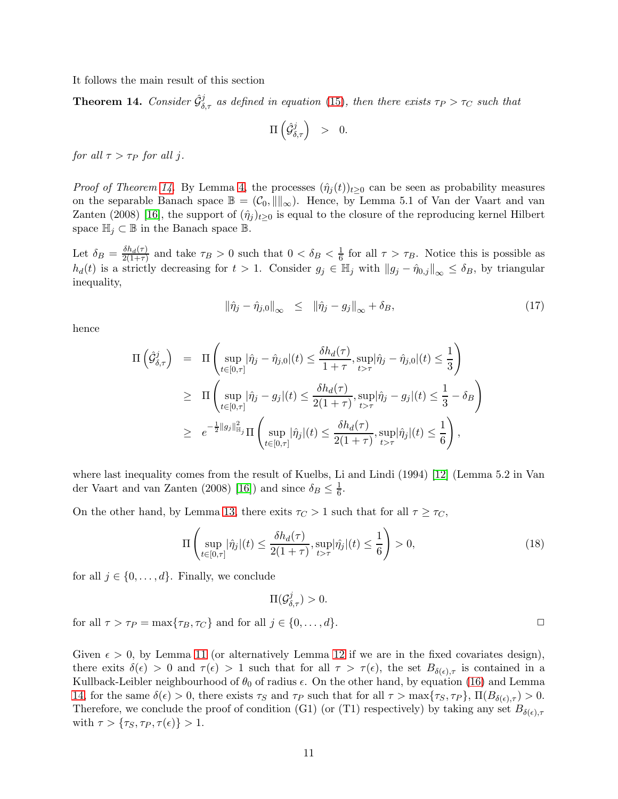It follows the main result of this section

<span id="page-11-0"></span>**Theorem 14.** Consider  $\hat{\mathcal{G}}_{\delta,\tau}^j$  as defined in equation [\(15\)](#page-10-0), then there exists  $\tau_P > \tau_C$  such that

$$
\Pi\left(\hat{\mathcal{G}}_{\delta,\tau}^{j}\right) \hspace{0.1in} > \hspace{0.1in} 0.
$$

*for all*  $\tau > \tau_P$  *for all j*.

*Proof of Theorem [14.](#page-11-0)* By Lemma [4,](#page-5-2) the processes  $(\hat{\eta}_i(t))_{t>0}$  can be seen as probability measures on the separable Banach space  $\mathbb{B} = (\mathcal{C}_0, \| \|_{\infty})$ . Hence, by Lemma 5.1 of Van der Vaart and van Zanten (2008) [\[16\]](#page-31-12), the support of  $(\hat{\eta}_j)_{t\geq 0}$  is equal to the closure of the reproducing kernel Hilbert space  $\mathbb{H}_i \subset \mathbb{B}$  in the Banach space  $\mathbb{B}$ .

Let  $\delta_B = \frac{\delta h_d(\tau)}{2(1+\tau)}$  $\frac{\delta h_d(\tau)}{2(1+\tau)}$  and take  $\tau_B > 0$  such that  $0 < \delta_B < \frac{1}{6}$  $\frac{1}{6}$  for all  $\tau > \tau_B$ . Notice this is possible as  $h_d(t)$  is a strictly decreasing for  $t > 1$ . Consider  $g_j \in \mathbb{H}_j$  with  $||g_j - \hat{\eta}_{0,j}||_{\infty} \leq \delta_B$ , by triangular inequality,

$$
\left\|\hat{\eta}_j - \hat{\eta}_j\right\|_{\infty} \leq \left\|\hat{\eta}_j - g_j\right\|_{\infty} + \delta_B,\tag{17}
$$

hence

$$
\Pi\left(\hat{\mathcal{G}}_{\delta,\tau}^{j}\right) = \Pi\left(\sup_{t\in[0,\tau]}|\hat{\eta}_{j}-\hat{\eta}_{j,0}|(t) \leq \frac{\delta h_d(\tau)}{1+\tau}, \sup_{t>\tau}|\hat{\eta}_{j}-\hat{\eta}_{j,0}|(t) \leq \frac{1}{3}\right)
$$
\n
$$
\geq \Pi\left(\sup_{t\in[0,\tau]}|\hat{\eta}_{j}-g_{j}|(t) \leq \frac{\delta h_d(\tau)}{2(1+\tau)}, \sup_{t>\tau}|\hat{\eta}_{j}-g_{j}|(t) \leq \frac{1}{3}-\delta_B\right)
$$
\n
$$
\geq e^{-\frac{1}{2}\|g_{j}\|_{\mathbb{H}_{j}}^{2}}\Pi\left(\sup_{t\in[0,\tau]}|\hat{\eta}_{j}|(t) \leq \frac{\delta h_d(\tau)}{2(1+\tau)}, \sup_{t>\tau}|\hat{\eta}_{j}|(t) \leq \frac{1}{6}\right),
$$

where last inequality comes from the result of Kuelbs, Li and Lindi (1994) [\[12\]](#page-31-14) (Lemma 5.2 in Van der Vaart and van Zanten (2008) [\[16\]](#page-31-12)) and since  $\delta_B \leq \frac{1}{6}$ .

On the other hand, by Lemma [13,](#page-10-1) there exits  $\tau_C > 1$  such that for all  $\tau \geq \tau_C$ ,

$$
\Pi \left( \sup_{t \in [0,\tau]} |\hat{\eta}_j|(t) \le \frac{\delta h_d(\tau)}{2(1+\tau)}, \sup_{t > \tau} |\hat{\eta}_j|(t) \le \frac{1}{6} \right) > 0,
$$
\n(18)

for all  $j \in \{0, \ldots, d\}$ . Finally, we conclude

 $\Pi(\mathcal{G}_{\delta,\tau}^j) > 0.$ 

for all  $\tau > \tau_P = \max{\{\tau_B, \tau_C\}}$  and for all  $j \in \{0, \ldots, d\}$ .

Given  $\epsilon > 0$ , by Lemma [11](#page-9-0) (or alternatively Lemma [12](#page-9-1) if we are in the fixed covariates design), there exits  $\delta(\epsilon) > 0$  and  $\tau(\epsilon) > 1$  such that for all  $\tau > \tau(\epsilon)$ , the set  $B_{\delta(\epsilon),\tau}$  is contained in a Kullback-Leibler neighbourhood of  $\theta_0$  of radius  $\epsilon$ . On the other hand, by equation [\(16\)](#page-10-2) and Lemma [14,](#page-11-0) for the same  $\delta(\epsilon) > 0$ , there exists  $\tau_S$  and  $\tau_P$  such that for all  $\tau > \max\{\tau_S, \tau_P\}$ ,  $\Pi(B_{\delta(\epsilon), \tau}) > 0$ . Therefore, we conclude the proof of condition (G1) (or (T1) respectively) by taking any set  $B_{\delta(\epsilon),\tau}$ with  $\tau > {\tau_S, \tau_P, \tau(\epsilon)} > 1$ .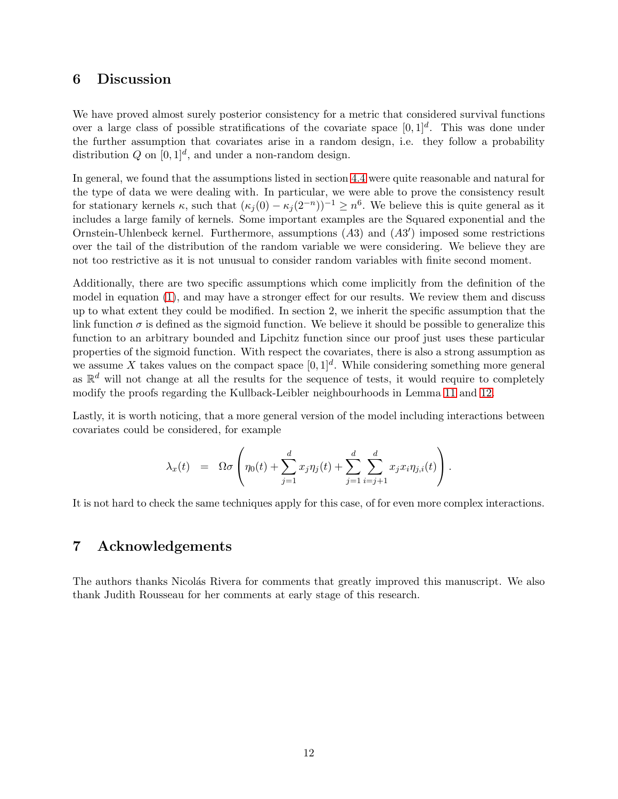## 6 Discussion

We have proved almost surely posterior consistency for a metric that considered survival functions over a large class of possible stratifications of the covariate space  $[0,1]^d$ . This was done under the further assumption that covariates arise in a random design, i.e. they follow a probability distribution Q on  $[0,1]^d$ , and under a non-random design.

In general, we found that the assumptions listed in section [4.4](#page-5-3) were quite reasonable and natural for the type of data we were dealing with. In particular, we were able to prove the consistency result for stationary kernels  $\kappa$ , such that  $(\kappa_j(0) - \kappa_j(2^{-n}))^{-1} \geq n^6$ . We believe this is quite general as it includes a large family of kernels. Some important examples are the Squared exponential and the Ornstein-Uhlenbeck kernel. Furthermore, assumptions  $(A3)$  and  $(A3')$  imposed some restrictions over the tail of the distribution of the random variable we were considering. We believe they are not too restrictive as it is not unusual to consider random variables with finite second moment.

Additionally, there are two specific assumptions which come implicitly from the definition of the model in equation [\(1\)](#page-2-1), and may have a stronger effect for our results. We review them and discuss up to what extent they could be modified. In section 2, we inherit the specific assumption that the link function  $\sigma$  is defined as the sigmoid function. We believe it should be possible to generalize this function to an arbitrary bounded and Lipchitz function since our proof just uses these particular properties of the sigmoid function. With respect the covariates, there is also a strong assumption as we assume X takes values on the compact space  $[0, 1]^d$ . While considering something more general as  $\mathbb{R}^d$  will not change at all the results for the sequence of tests, it would require to completely modify the proofs regarding the Kullback-Leibler neighbourhoods in Lemma [11](#page-9-0) and [12.](#page-9-1)

Lastly, it is worth noticing, that a more general version of the model including interactions between covariates could be considered, for example

$$
\lambda_x(t) = \Omega \sigma \left( \eta_0(t) + \sum_{j=1}^d x_j \eta_j(t) + \sum_{j=1}^d \sum_{i=j+1}^d x_j x_i \eta_{j,i}(t) \right).
$$

It is not hard to check the same techniques apply for this case, of for even more complex interactions.

## 7 Acknowledgements

The authors thanks Nicolás Rivera for comments that greatly improved this manuscript. We also thank Judith Rousseau for her comments at early stage of this research.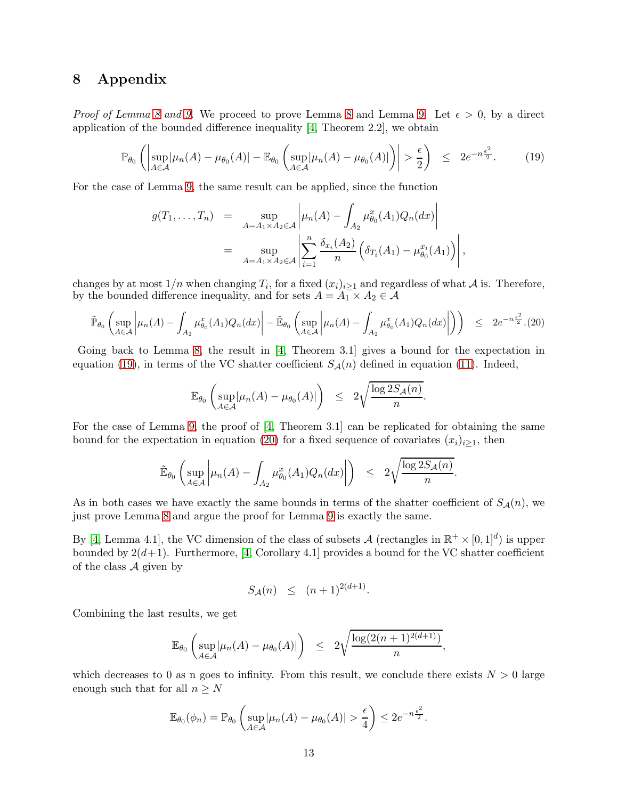## 8 Appendix

*Proof of Lemma [8](#page-8-0) and [9.](#page-9-2)* We proceed to prove Lemma 8 and Lemma 9. Let  $\epsilon > 0$ , by a direct application of the bounded difference inequality [\[4,](#page-31-11) Theorem 2.2], we obtain

<span id="page-13-0"></span>
$$
\mathbb{P}_{\theta_0}\left(\left|\sup_{A\in\mathcal{A}}|\mu_n(A)-\mu_{\theta_0}(A)|-\mathbb{E}_{\theta_0}\left(\sup_{A\in\mathcal{A}}|\mu_n(A)-\mu_{\theta_0}(A)|\right)\right|>\frac{\epsilon}{2}\right) \leq 2e^{-n\frac{\epsilon^2}{2}}.\tag{19}
$$

For the case of Lemma [9,](#page-9-2) the same result can be applied, since the function

$$
g(T_1,...,T_n) = \sup_{A=A_1 \times A_2 \in \mathcal{A}} \left| \mu_n(A) - \int_{A_2} \mu_{\theta_0}^x(A_1) Q_n(dx) \right|
$$
  
= 
$$
\sup_{A=A_1 \times A_2 \in \mathcal{A}} \left| \sum_{i=1}^n \frac{\delta_{x_i}(A_2)}{n} \left( \delta_{T_i}(A_1) - \mu_{\theta_0}^{x_i}(A_1) \right) \right|,
$$

changes by at most  $1/n$  when changing  $T_i$ , for a fixed  $(x_i)_{i\geq 1}$  and regardless of what A is. Therefore, by the bounded difference inequality, and for sets  $A = A_1 \times A_2 \in \mathcal{A}$ 

<span id="page-13-1"></span>
$$
\tilde{\mathbb{P}}_{\theta_0}\left(\sup_{A\in\mathcal{A}}\left|\mu_n(A)-\int_{A_2}\mu_{\theta_0}^x(A_1)Q_n(dx)\right|-\tilde{\mathbb{E}}_{\theta_0}\left(\sup_{A\in\mathcal{A}}\left|\mu_n(A)-\int_{A_2}\mu_{\theta_0}^x(A_1)Q_n(dx)\right|\right)\right) \leq 2e^{-n\frac{\epsilon^2}{2}}.(20)
$$

Going back to Lemma [8,](#page-8-0) the result in [\[4,](#page-31-11) Theorem 3.1] gives a bound for the expectation in equation [\(19\)](#page-13-0), in terms of the VC shatter coefficient  $S_{\mathcal{A}}(n)$  defined in equation [\(11\)](#page-8-1). Indeed,

$$
\mathbb{E}_{\theta_0} \left( \sup_{A \in \mathcal{A}} |\mu_n(A) - \mu_{\theta_0}(A)| \right) \leq 2\sqrt{\frac{\log 2S_{\mathcal{A}}(n)}{n}}.
$$

For the case of Lemma [9,](#page-9-2) the proof of [\[4,](#page-31-11) Theorem 3.1] can be replicated for obtaining the same bound for the expectation in equation [\(20\)](#page-13-1) for a fixed sequence of covariates  $(x_i)_{i\geq 1}$ , then

$$
\widetilde{\mathbb{E}}_{\theta_0}\left(\sup_{A\in\mathcal{A}}\left|\mu_n(A)-\int_{A_2}\mu_{\theta_0}^x(A_1)Q_n(dx)\right|\right) \leq 2\sqrt{\frac{\log 2S_{\mathcal{A}}(n)}{n}}.
$$

As in both cases we have exactly the same bounds in terms of the shatter coefficient of  $S_{\mathcal{A}}(n)$ , we just prove Lemma [8](#page-8-0) and argue the proof for Lemma [9](#page-9-2) is exactly the same.

By [\[4,](#page-31-11) Lemma 4.1], the VC dimension of the class of subsets  $\mathcal{A}$  (rectangles in  $\mathbb{R}^+ \times [0,1]^d$ ) is upper bounded by  $2(d+1)$ . Furthermore, [\[4,](#page-31-11) Corollary 4.1] provides a bound for the VC shatter coefficient of the class  $\mathcal A$  given by

$$
S_{\mathcal{A}}(n) \le (n+1)^{2(d+1)}.
$$

Combining the last results, we get

$$
\mathbb{E}_{\theta_0}\left(\sup_{A\in\mathcal{A}}|\mu_n(A)-\mu_{\theta_0}(A)|\right) \leq 2\sqrt{\frac{\log(2(n+1)^{2(d+1)})}{n}},
$$

which decreases to 0 as n goes to infinity. From this result, we conclude there exists  $N > 0$  large enough such that for all  $n \geq N$ 

$$
\mathbb{E}_{\theta_0}(\phi_n) = \mathbb{P}_{\theta_0} \left( \sup_{A \in \mathcal{A}} |\mu_n(A) - \mu_{\theta_0}(A)| > \frac{\epsilon}{4} \right) \le 2e^{-n\frac{\epsilon^2}{2}}.
$$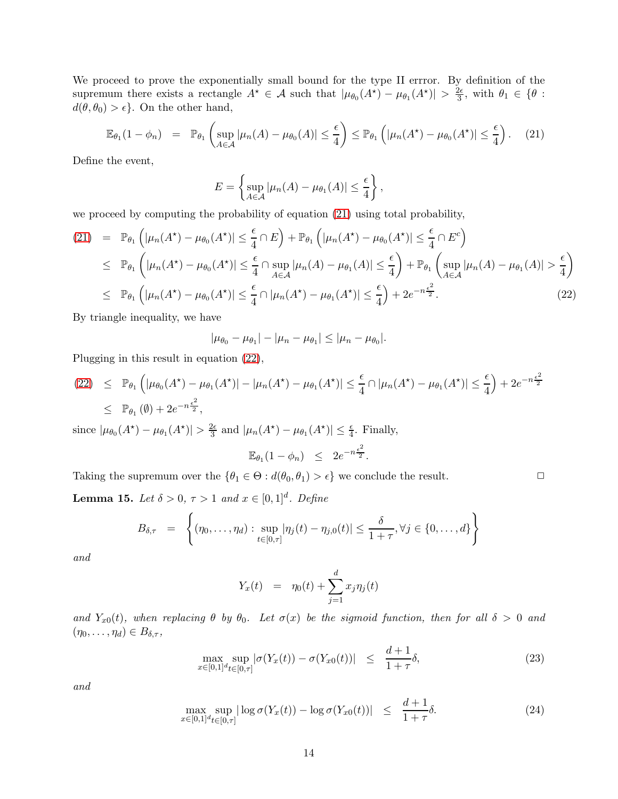We proceed to prove the exponentially small bound for the type II errror. By definition of the supremum there exists a rectangle  $A^* \in \mathcal{A}$  such that  $|\mu_{\theta_0}(A^*) - \mu_{\theta_1}(A^*)| > \frac{2\epsilon}{3}$  $\frac{2\epsilon}{3}$ , with  $\theta_1 \in \{\theta:$  $d(\theta, \theta_0) > \epsilon$ . On the other hand,

<span id="page-14-0"></span>
$$
\mathbb{E}_{\theta_1}(1-\phi_n) = \mathbb{P}_{\theta_1}\left(\sup_{A\in\mathcal{A}}|\mu_n(A)-\mu_{\theta_0}(A)|\leq \frac{\epsilon}{4}\right) \leq \mathbb{P}_{\theta_1}\left(|\mu_n(A^*)-\mu_{\theta_0}(A^*)|\leq \frac{\epsilon}{4}\right). \tag{21}
$$

Define the event,

$$
E = \left\{ \sup_{A \in \mathcal{A}} |\mu_n(A) - \mu_{\theta_1}(A)| \leq \frac{\epsilon}{4} \right\},\,
$$

we proceed by computing the probability of equation [\(21\)](#page-14-0) using total probability,

<span id="page-14-1"></span>
$$
(21) = \mathbb{P}_{\theta_1} \left( |\mu_n(A^*) - \mu_{\theta_0}(A^*)| \leq \frac{\epsilon}{4} \cap E \right) + \mathbb{P}_{\theta_1} \left( |\mu_n(A^*) - \mu_{\theta_0}(A^*)| \leq \frac{\epsilon}{4} \cap E^c \right)
$$
  
\n
$$
\leq \mathbb{P}_{\theta_1} \left( |\mu_n(A^*) - \mu_{\theta_0}(A^*)| \leq \frac{\epsilon}{4} \cap \sup_{A \in \mathcal{A}} |\mu_n(A) - \mu_{\theta_1}(A)| \leq \frac{\epsilon}{4} \right) + \mathbb{P}_{\theta_1} \left( \sup_{A \in \mathcal{A}} |\mu_n(A) - \mu_{\theta_1}(A)| > \frac{\epsilon}{4} \right)
$$
  
\n
$$
\leq \mathbb{P}_{\theta_1} \left( |\mu_n(A^*) - \mu_{\theta_0}(A^*)| \leq \frac{\epsilon}{4} \cap |\mu_n(A^*) - \mu_{\theta_1}(A^*)| \leq \frac{\epsilon}{4} \right) + 2e^{-n\frac{\epsilon^2}{2}}.
$$
 (22)

By triangle inequality, we have

$$
|\mu_{\theta_0} - \mu_{\theta_1}| - |\mu_n - \mu_{\theta_1}| \leq |\mu_n - \mu_{\theta_0}|.
$$

Plugging in this result in equation [\(22\)](#page-14-1),

$$
(22) \leq \mathbb{P}_{\theta_1} \left( |\mu_{\theta_0}(A^*) - \mu_{\theta_1}(A^*)| - |\mu_n(A^*) - \mu_{\theta_1}(A^*)| \right) \leq \frac{\epsilon}{4} \cap |\mu_n(A^*) - \mu_{\theta_1}(A^*)| \leq \frac{\epsilon}{4} + 2e^{-n\frac{\epsilon^2}{2}}
$$
  

$$
\leq \mathbb{P}_{\theta_1}(\emptyset) + 2e^{-n\frac{\epsilon^2}{2}},
$$

since  $|\mu_{\theta_0}(A^*) - \mu_{\theta_1}(A^*)| > \frac{2\epsilon}{3}$  and  $|\mu_n(A^*) - \mu_{\theta_1}(A^*)| \leq \frac{\epsilon}{4}$ . Finally,

$$
\mathbb{E}_{\theta_1}(1-\phi_n) \leq 2e^{-n\frac{\epsilon^2}{2}}.
$$

Taking the supremum over the  $\{\theta_1 \in \Theta : d(\theta_0, \theta_1) > \epsilon\}$  we conclude the result.

**Lemma 15.** *Let*  $\delta > 0$ ,  $\tau > 1$  *and*  $x \in [0, 1]^d$ *. Define* 

$$
B_{\delta,\tau} = \left\{ (\eta_0,\ldots,\eta_d) : \sup_{t\in[0,\tau]} |\eta_j(t) - \eta_{j,0}(t)| \leq \frac{\delta}{1+\tau}, \forall j \in \{0,\ldots,d\} \right\}
$$

*and*

$$
Y_x(t) = \eta_0(t) + \sum_{j=1}^d x_j \eta_j(t)
$$

*and*  $Y_{x0}(t)$ *, when replacing*  $\theta$  *by*  $\theta_0$ *. Let*  $\sigma(x)$  *be the sigmoid function, then for all*  $\delta > 0$  *and*  $(\eta_0, \ldots, \eta_d) \in B_{\delta, \tau},$ 

<span id="page-14-2"></span>
$$
\max_{x \in [0,1]^d} \sup_{t \in [0,\tau]} |\sigma(Y_x(t)) - \sigma(Y_{x0}(t))| \leq \frac{d+1}{1+\tau} \delta, \tag{23}
$$

*and*

<span id="page-14-3"></span>
$$
\max_{x \in [0,1]^d} \sup_{t \in [0,\tau]} |\log \sigma(Y_x(t)) - \log \sigma(Y_{x0}(t))| \le \frac{d+1}{1+\tau} \delta. \tag{24}
$$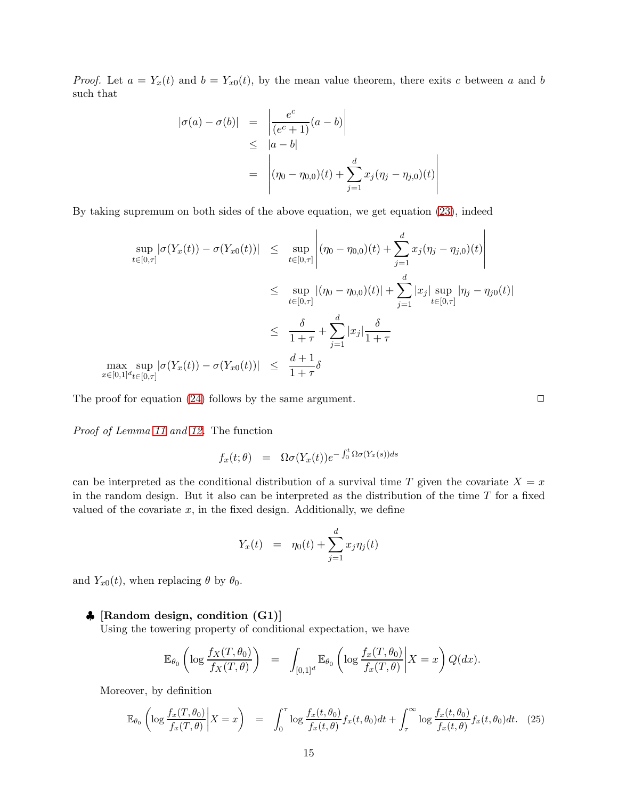*Proof.* Let  $a = Y_x(t)$  and  $b = Y_{x0}(t)$ , by the mean value theorem, there exits c between a and b such that

$$
|\sigma(a) - \sigma(b)| = \left| \frac{e^c}{(e^c + 1)}(a - b) \right|
$$
  
\n
$$
\leq |a - b|
$$
  
\n
$$
= \left| (\eta_0 - \eta_{0,0})(t) + \sum_{j=1}^d x_j (\eta_j - \eta_{j,0})(t) \right|
$$

 $\overline{\phantom{a}}$  $\overline{\phantom{a}}$ 

 $\overline{\phantom{a}}$ I  $\overline{\phantom{a}}$ 

By taking supremum on both sides of the above equation, we get equation [\(23\)](#page-14-2), indeed

$$
\sup_{t \in [0,\tau]} |\sigma(Y_x(t)) - \sigma(Y_{x0}(t))| \leq \sup_{t \in [0,\tau]} \left| (\eta_0 - \eta_{0,0})(t) + \sum_{j=1}^d x_j (\eta_j - \eta_{j,0})(t) \right|
$$
  
\n
$$
\leq \sup_{t \in [0,\tau]} |(\eta_0 - \eta_{0,0})(t)| + \sum_{j=1}^d |x_j| \sup_{t \in [0,\tau]} |\eta_j - \eta_{j0}(t)|
$$
  
\n
$$
\leq \frac{\delta}{1+\tau} + \sum_{j=1}^d |x_j| \frac{\delta}{1+\tau}
$$
  
\n
$$
\max_{x \in [0,1]^d} \sup_{t \in [0,\tau]} |\sigma(Y_x(t)) - \sigma(Y_{x0}(t))| \leq \frac{d+1}{1+\tau} \delta
$$

 $\overline{1}$ 

The proof for equation [\(24\)](#page-14-3) follows by the same argument.  $\Box$ 

*Proof of Lemma [11](#page-9-0) and [12.](#page-9-1)* The function

$$
f_x(t; \theta) = \Omega \sigma(Y_x(t)) e^{-\int_0^t \Omega \sigma(Y_x(s)) ds}
$$

 $\overline{1}$ 

can be interpreted as the conditional distribution of a survival time T given the covariate  $X = x$ in the random design. But it also can be interpreted as the distribution of the time  $T$  for a fixed valued of the covariate  $x$ , in the fixed design. Additionally, we define

$$
Y_x(t) = \eta_0(t) + \sum_{j=1}^d x_j \eta_j(t)
$$

and  $Y_{x0}(t)$ , when replacing  $\theta$  by  $\theta_0$ .

#### ♣ [Random design, condition (G1)]

Using the towering property of conditional expectation, we have

$$
\mathbb{E}_{\theta_0} \left( \log \frac{f_X(T, \theta_0)}{f_X(T, \theta)} \right) = \int_{[0,1]^d} \mathbb{E}_{\theta_0} \left( \log \frac{f_x(T, \theta_0)}{f_x(T, \theta)} \middle| X = x \right) Q(dx).
$$

Moreover, by definition

<span id="page-15-0"></span>
$$
\mathbb{E}_{\theta_0} \left( \log \frac{f_x(T, \theta_0)}{f_x(T, \theta)} \bigg| X = x \right) = \int_0^{\tau} \log \frac{f_x(t, \theta_0)}{f_x(t, \theta)} f_x(t, \theta_0) dt + \int_{\tau}^{\infty} \log \frac{f_x(t, \theta_0)}{f_x(t, \theta)} f_x(t, \theta_0) dt. \tag{25}
$$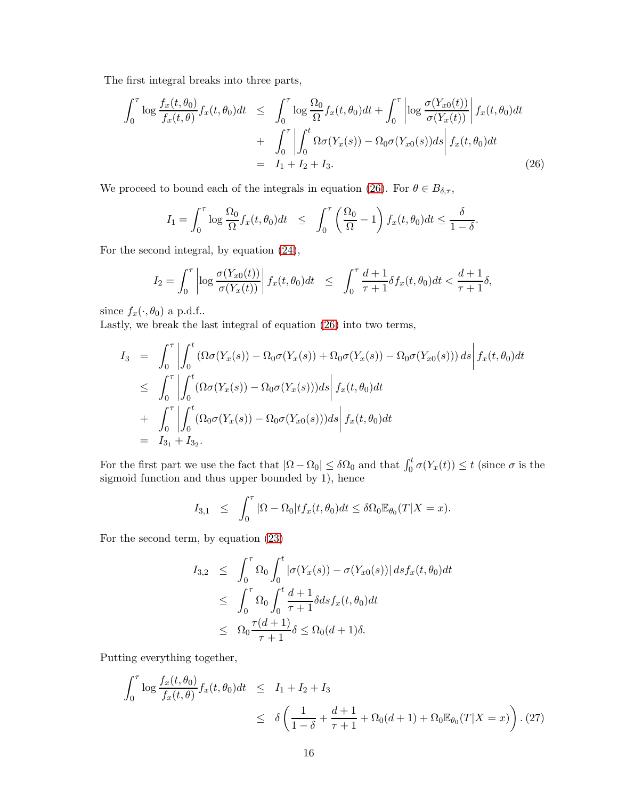The first integral breaks into three parts,

<span id="page-16-0"></span>
$$
\int_0^\tau \log \frac{f_x(t, \theta_0)}{f_x(t, \theta)} f_x(t, \theta_0) dt \leq \int_0^\tau \log \frac{\Omega_0}{\Omega} f_x(t, \theta_0) dt + \int_0^\tau \left| \log \frac{\sigma(Y_{x0}(t))}{\sigma(Y_x(t))} \right| f_x(t, \theta_0) dt + \int_0^\tau \left| \int_0^t \Omega \sigma(Y_x(s)) - \Omega_0 \sigma(Y_{x0}(s)) ds \right| f_x(t, \theta_0) dt = I_1 + I_2 + I_3.
$$
\n(26)

We proceed to bound each of the integrals in equation [\(26\)](#page-16-0). For  $\theta \in B_{\delta,\tau}$ ,

$$
I_1 = \int_0^{\tau} \log \frac{\Omega_0}{\Omega} f_x(t, \theta_0) dt \leq \int_0^{\tau} \left( \frac{\Omega_0}{\Omega} - 1 \right) f_x(t, \theta_0) dt \leq \frac{\delta}{1 - \delta}.
$$

For the second integral, by equation [\(24\)](#page-14-3),

$$
I_2 = \int_0^{\tau} \left| \log \frac{\sigma(Y_{x0}(t))}{\sigma(Y_x(t))} \right| f_x(t, \theta_0) dt \le \int_0^{\tau} \frac{d+1}{\tau+1} \delta f_x(t, \theta_0) dt < \frac{d+1}{\tau+1} \delta,
$$

since  $f_x(\cdot, \theta_0)$  a p.d.f..

Lastly, we break the last integral of equation [\(26\)](#page-16-0) into two terms,

$$
I_3 = \int_0^{\tau} \left| \int_0^t (\Omega \sigma(Y_x(s)) - \Omega_0 \sigma(Y_x(s)) + \Omega_0 \sigma(Y_x(s)) - \Omega_0 \sigma(Y_{x0}(s))) ds \right| f_x(t, \theta_0) dt
$$
  
\n
$$
\leq \int_0^{\tau} \left| \int_0^t (\Omega \sigma(Y_x(s)) - \Omega_0 \sigma(Y_x(s))) ds \right| f_x(t, \theta_0) dt
$$
  
\n
$$
+ \int_0^{\tau} \left| \int_0^t (\Omega_0 \sigma(Y_x(s)) - \Omega_0 \sigma(Y_{x0}(s))) ds \right| f_x(t, \theta_0) dt
$$
  
\n
$$
= I_{3_1} + I_{3_2}.
$$

For the first part we use the fact that  $|\Omega - \Omega_0| \leq \delta \Omega_0$  and that  $\int_0^t \sigma(Y_x(t)) \leq t$  (since  $\sigma$  is the sigmoid function and thus upper bounded by 1), hence

$$
I_{3,1} \leq \int_0^{\tau} |\Omega - \Omega_0| t f_x(t, \theta_0) dt \leq \delta \Omega_0 \mathbb{E}_{\theta_0}(T | X = x).
$$

For the second term, by equation [\(23\)](#page-14-2)

$$
I_{3,2} \leq \int_0^{\tau} \Omega_0 \int_0^t |\sigma(Y_x(s)) - \sigma(Y_{x0}(s))| ds f_x(t, \theta_0) dt
$$
  
\n
$$
\leq \int_0^{\tau} \Omega_0 \int_0^t \frac{d+1}{\tau+1} \delta ds f_x(t, \theta_0) dt
$$
  
\n
$$
\leq \Omega_0 \frac{\tau(d+1)}{\tau+1} \delta \leq \Omega_0(d+1) \delta.
$$

Putting everything together,

$$
\int_0^{\tau} \log \frac{f_x(t, \theta_0)}{f_x(t, \theta)} f_x(t, \theta_0) dt \leq I_1 + I_2 + I_3
$$
  
 
$$
\leq \delta \left( \frac{1}{1 - \delta} + \frac{d + 1}{\tau + 1} + \Omega_0(d + 1) + \Omega_0 \mathbb{E}_{\theta_0}(T | X = x) \right). (27)
$$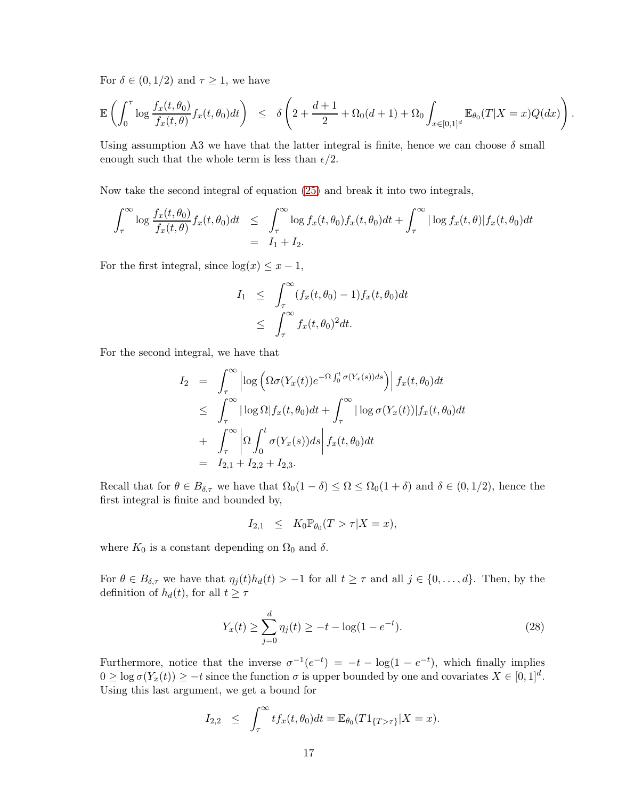For  $\delta \in (0, 1/2)$  and  $\tau \geq 1$ , we have

$$
\mathbb{E}\left(\int_0^{\tau} \log \frac{f_x(t,\theta_0)}{f_x(t,\theta)} f_x(t,\theta_0) dt\right) \leq \delta\left(2 + \frac{d+1}{2} + \Omega_0(d+1) + \Omega_0 \int_{x \in [0,1]^d} \mathbb{E}_{\theta_0}(T|X=x) Q(dx)\right)
$$

.

Using assumption A3 we have that the latter integral is finite, hence we can choose  $\delta$  small enough such that the whole term is less than  $\epsilon/2$ .

Now take the second integral of equation [\(25\)](#page-15-0) and break it into two integrals,

$$
\int_{\tau}^{\infty} \log \frac{f_x(t, \theta_0)}{f_x(t, \theta)} f_x(t, \theta_0) dt \leq \int_{\tau}^{\infty} \log f_x(t, \theta_0) f_x(t, \theta_0) dt + \int_{\tau}^{\infty} |\log f_x(t, \theta)| f_x(t, \theta_0) dt
$$
  
= I<sub>1</sub> + I<sub>2</sub>.

For the first integral, since  $log(x) \leq x - 1$ ,

$$
I_1 \leq \int_{\tau}^{\infty} (f_x(t, \theta_0) - 1) f_x(t, \theta_0) dt
$$
  
 
$$
\leq \int_{\tau}^{\infty} f_x(t, \theta_0)^2 dt.
$$

For the second integral, we have that

$$
I_2 = \int_{\tau}^{\infty} \left| \log \left( \Omega \sigma(Y_x(t)) e^{-\Omega \int_0^t \sigma(Y_x(s)) ds} \right) \right| f_x(t, \theta_0) dt
$$
  
\n
$$
\leq \int_{\tau}^{\infty} \left| \log \Omega \right| f_x(t, \theta_0) dt + \int_{\tau}^{\infty} \left| \log \sigma(Y_x(t)) \right| f_x(t, \theta_0) dt
$$
  
\n
$$
+ \int_{\tau}^{\infty} \left| \Omega \int_0^t \sigma(Y_x(s)) ds \right| f_x(t, \theta_0) dt
$$
  
\n
$$
= I_{2,1} + I_{2,2} + I_{2,3}.
$$

Recall that for  $\theta \in B_{\delta,\tau}$  we have that  $\Omega_0(1-\delta) \leq \Omega \leq \Omega_0(1+\delta)$  and  $\delta \in (0,1/2)$ , hence the first integral is finite and bounded by,

$$
I_{2,1} \leq K_0 \mathbb{P}_{\theta_0}(T > \tau | X = x),
$$

where  $K_0$  is a constant depending on  $\Omega_0$  and  $\delta$ .

For  $\theta \in B_{\delta,\tau}$  we have that  $\eta_j(t)h_d(t) > -1$  for all  $t \geq \tau$  and all  $j \in \{0,\ldots,d\}$ . Then, by the definition of  $h_d(t)$ , for all  $t \geq \tau$ 

<span id="page-17-0"></span>
$$
Y_x(t) \ge \sum_{j=0}^d \eta_j(t) \ge -t - \log(1 - e^{-t}).\tag{28}
$$

Furthermore, notice that the inverse  $\sigma^{-1}(e^{-t}) = -t - \log(1 - e^{-t})$ , which finally implies  $0 \ge \log \sigma(Y_x(t)) \ge -t$  since the function  $\sigma$  is upper bounded by one and covariates  $X \in [0,1]^d$ . Using this last argument, we get a bound for

$$
I_{2,2} \leq \int_{\tau}^{\infty} t f_x(t,\theta_0) dt = \mathbb{E}_{\theta_0}(T 1_{\{T>\tau\}}|X=x).
$$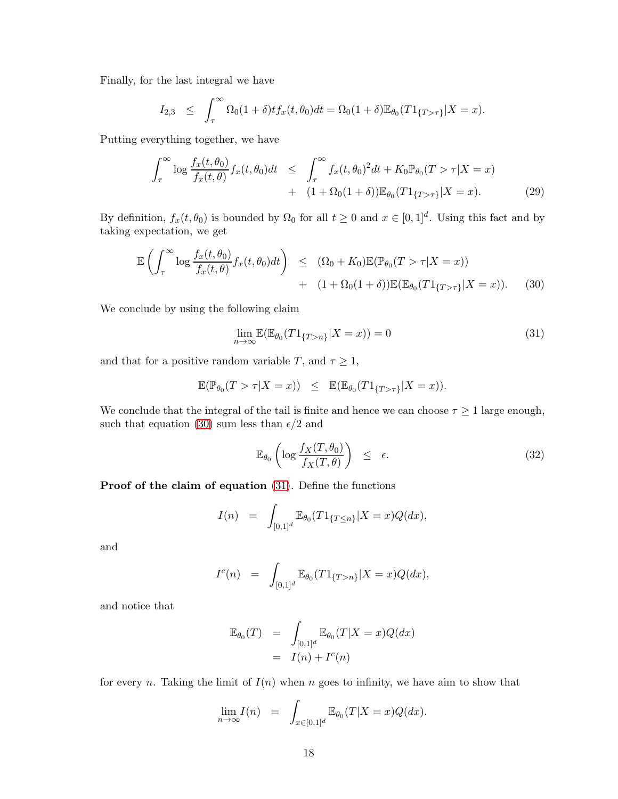Finally, for the last integral we have

$$
I_{2,3} \leq \int_{\tau}^{\infty} \Omega_0(1+\delta) t f_x(t,\theta_0) dt = \Omega_0(1+\delta) \mathbb{E}_{\theta_0}(T 1_{\{T>\tau\}} | X = x).
$$

Putting everything together, we have

$$
\int_{\tau}^{\infty} \log \frac{f_x(t, \theta_0)}{f_x(t, \theta)} f_x(t, \theta_0) dt \leq \int_{\tau}^{\infty} f_x(t, \theta_0)^2 dt + K_0 \mathbb{P}_{\theta_0}(T > \tau | X = x) \n+ (1 + \Omega_0(1 + \delta)) \mathbb{E}_{\theta_0}(T \mathbf{1}_{\{T > \tau\}} | X = x).
$$
\n(29)

By definition,  $f_x(t, \theta_0)$  is bounded by  $\Omega_0$  for all  $t \geq 0$  and  $x \in [0, 1]^d$ . Using this fact and by taking expectation, we get

<span id="page-18-0"></span>
$$
\mathbb{E}\left(\int_{\tau}^{\infty}\log\frac{f_x(t,\theta_0)}{f_x(t,\theta)}f_x(t,\theta_0)dt\right) \leq (\Omega_0 + K_0)\mathbb{E}(\mathbb{P}_{\theta_0}(T > \tau | X = x)) \n+ (1 + \Omega_0(1 + \delta))\mathbb{E}(\mathbb{E}_{\theta_0}(T1_{\{T > \tau\}} | X = x)).
$$
\n(30)

We conclude by using the following claim

<span id="page-18-1"></span>
$$
\lim_{n \to \infty} \mathbb{E}(\mathbb{E}_{\theta_0}(T1_{\{T > n\}} | X = x)) = 0
$$
\n(31)

and that for a positive random variable T, and  $\tau \geq 1$ ,

$$
\mathbb{E}(\mathbb{P}_{\theta_0}(T > \tau | X = x)) \leq \mathbb{E}(\mathbb{E}_{\theta_0}(T1_{\{T > \tau\}} | X = x)).
$$

We conclude that the integral of the tail is finite and hence we can choose  $\tau \geq 1$  large enough, such that equation [\(30\)](#page-18-0) sum less than  $\epsilon/2$  and

$$
\mathbb{E}_{\theta_0} \left( \log \frac{f_X(T, \theta_0)}{f_X(T, \theta)} \right) \le \epsilon. \tag{32}
$$

Proof of the claim of equation [\(31\)](#page-18-1). Define the functions

$$
I(n) = \int_{[0,1]^d} \mathbb{E}_{\theta_0}(T1_{\{T \le n\}} | X = x) Q(dx),
$$

and

$$
I^{c}(n) = \int_{[0,1]^{d}} \mathbb{E}_{\theta_{0}}(T^{1}\{T>n\}}|X=x)Q(dx),
$$

and notice that

$$
\mathbb{E}_{\theta_0}(T) = \int_{[0,1]^d} \mathbb{E}_{\theta_0}(T|X=x)Q(dx)
$$
  
=  $I(n) + I^c(n)$ 

for every n. Taking the limit of  $I(n)$  when n goes to infinity, we have aim to show that

$$
\lim_{n \to \infty} I(n) = \int_{x \in [0,1]^d} \mathbb{E}_{\theta_0}(T|X=x)Q(dx).
$$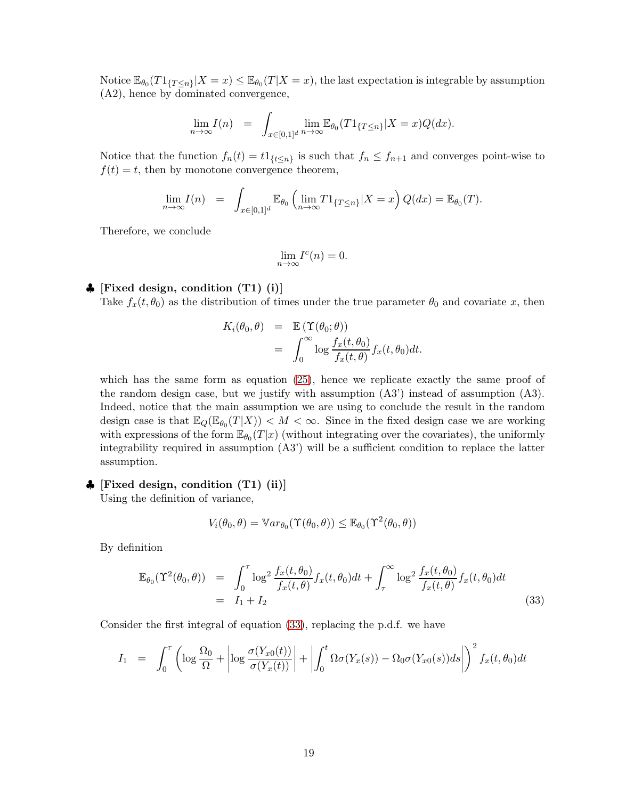Notice  $\mathbb{E}_{\theta_0}(T1_{\{T\leq n\}}|X=x) \leq \mathbb{E}_{\theta_0}(T|X=x)$ , the last expectation is integrable by assumption (A2), hence by dominated convergence,

$$
\lim_{n \to \infty} I(n) = \int_{x \in [0,1]^d} \lim_{n \to \infty} \mathbb{E}_{\theta_0}(T1_{\{T \le n\}} | X = x) Q(dx).
$$

Notice that the function  $f_n(t) = t_1_{\{t \leq n\}}$  is such that  $f_n \leq f_{n+1}$  and converges point-wise to  $f(t) = t$ , then by monotone convergence theorem,

$$
\lim_{n \to \infty} I(n) = \int_{x \in [0,1]^d} \mathbb{E}_{\theta_0} \left( \lim_{n \to \infty} T 1_{\{T \le n\}} | X = x \right) Q(dx) = \mathbb{E}_{\theta_0}(T).
$$

Therefore, we conclude

$$
\lim_{n \to \infty} I^c(n) = 0.
$$

#### $\bullet$  [Fixed design, condition (T1) (i)]

Take  $f_x(t, \theta_0)$  as the distribution of times under the true parameter  $\theta_0$  and covariate x, then

$$
K_i(\theta_0, \theta) = \mathbb{E}(\Upsilon(\theta_0; \theta))
$$
  
= 
$$
\int_0^\infty \log \frac{f_x(t, \theta_0)}{f_x(t, \theta)} f_x(t, \theta_0) dt.
$$

which has the same form as equation [\(25\)](#page-15-0), hence we replicate exactly the same proof of the random design case, but we justify with assumption (A3') instead of assumption (A3). Indeed, notice that the main assumption we are using to conclude the result in the random design case is that  $\mathbb{E}_Q(\mathbb{E}_{\theta_0}(T|X)) < M < \infty$ . Since in the fixed design case we are working with expressions of the form  $\mathbb{E}_{\theta_0}(T|x)$  (without integrating over the covariates), the uniformly integrability required in assumption (A3') will be a sufficient condition to replace the latter assumption.

#### $\clubsuit$  [Fixed design, condition (T1) (ii)]

Using the definition of variance,

$$
V_i(\theta_0, \theta) = \mathbb{V}ar_{\theta_0}(\Upsilon(\theta_0, \theta)) \leq \mathbb{E}_{\theta_0}(\Upsilon^2(\theta_0, \theta))
$$

By definition

<span id="page-19-0"></span>
$$
\mathbb{E}_{\theta_0}(\Upsilon^2(\theta_0, \theta)) = \int_0^{\tau} \log^2 \frac{f_x(t, \theta_0)}{f_x(t, \theta)} f_x(t, \theta_0) dt + \int_{\tau}^{\infty} \log^2 \frac{f_x(t, \theta_0)}{f_x(t, \theta)} f_x(t, \theta_0) dt
$$
\n
$$
= I_1 + I_2
$$
\n(33)

Consider the first integral of equation [\(33\)](#page-19-0), replacing the p.d.f. we have

$$
I_1 = \int_0^{\tau} \left( \log \frac{\Omega_0}{\Omega} + \left| \log \frac{\sigma(Y_{x0}(t))}{\sigma(Y_x(t))} \right| + \left| \int_0^t \Omega \sigma(Y_x(s)) - \Omega_0 \sigma(Y_{x0}(s)) ds \right| \right)^2 f_x(t, \theta_0) dt
$$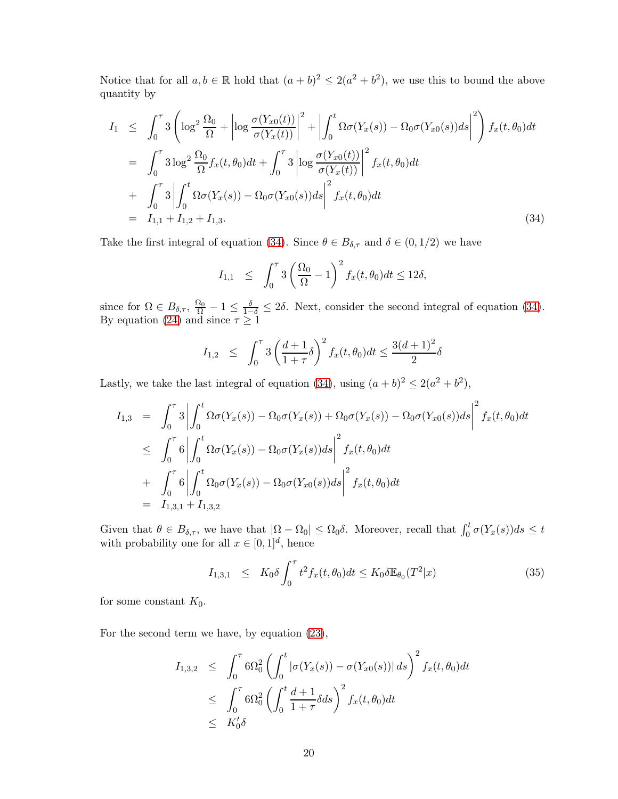Notice that for all  $a, b \in \mathbb{R}$  hold that  $(a + b)^2 \leq 2(a^2 + b^2)$ , we use this to bound the above quantity by

<span id="page-20-0"></span>
$$
I_{1} \leq \int_{0}^{\tau} 3\left(\log^{2} \frac{\Omega_{0}}{\Omega} + \left|\log \frac{\sigma(Y_{x0}(t))}{\sigma(Y_{x}(t))}\right|^{2} + \left|\int_{0}^{t} \Omega \sigma(Y_{x}(s)) - \Omega_{0} \sigma(Y_{x0}(s))ds\right|^{2}\right) f_{x}(t, \theta_{0})dt
$$
  
\n
$$
= \int_{0}^{\tau} 3\log^{2} \frac{\Omega_{0}}{\Omega} f_{x}(t, \theta_{0}) dt + \int_{0}^{\tau} 3\left|\log \frac{\sigma(Y_{x0}(t))}{\sigma(Y_{x}(t))}\right|^{2} f_{x}(t, \theta_{0}) dt
$$
  
\n
$$
+ \int_{0}^{\tau} 3\left|\int_{0}^{t} \Omega \sigma(Y_{x}(s)) - \Omega_{0} \sigma(Y_{x0}(s))ds\right|^{2} f_{x}(t, \theta_{0}) dt
$$
  
\n
$$
= I_{1,1} + I_{1,2} + I_{1,3}.
$$
\n(34)

Take the first integral of equation [\(34\)](#page-20-0). Since  $\theta \in B_{\delta,\tau}$  and  $\delta \in (0,1/2)$  we have

$$
I_{1,1} \leq \int_0^\tau 3\left(\frac{\Omega_0}{\Omega} - 1\right)^2 f_x(t,\theta_0) dt \leq 12\delta,
$$

since for  $\Omega \in B_{\delta,\tau}$ ,  $\frac{\Omega_0}{\Omega} - 1 \le \frac{\delta}{1-\delta} \le 2\delta$ . Next, consider the second integral of equation [\(34\)](#page-20-0). By equation [\(24\)](#page-14-3) and since  $\tau \geq 1$ 

$$
I_{1,2} \leq \int_0^{\tau} 3\left(\frac{d+1}{1+\tau}\delta\right)^2 f_x(t,\theta_0) dt \leq \frac{3(d+1)^2}{2}\delta
$$

Lastly, we take the last integral of equation [\(34\)](#page-20-0), using  $(a + b)^2 \leq 2(a^2 + b^2)$ ,

$$
I_{1,3} = \int_0^{\tau} 3 \left| \int_0^t \Omega \sigma(Y_x(s)) - \Omega_0 \sigma(Y_x(s)) + \Omega_0 \sigma(Y_x(s)) - \Omega_0 \sigma(Y_{x0}(s)) ds \right|^2 f_x(t, \theta_0) dt
$$
  
\n
$$
\leq \int_0^{\tau} 6 \left| \int_0^t \Omega \sigma(Y_x(s)) - \Omega_0 \sigma(Y_x(s)) ds \right|^2 f_x(t, \theta_0) dt
$$
  
\n
$$
+ \int_0^{\tau} 6 \left| \int_0^t \Omega_0 \sigma(Y_x(s)) - \Omega_0 \sigma(Y_{x0}(s)) ds \right|^2 f_x(t, \theta_0) dt
$$
  
\n
$$
= I_{1,3,1} + I_{1,3,2}
$$

Given that  $\theta \in B_{\delta,\tau}$ , we have that  $|\Omega - \Omega_0| \leq \Omega_0 \delta$ . Moreover, recall that  $\int_0^t \sigma(Y_x(s))ds \leq t$ with probability one for all  $x \in [0,1]^d$ , hence

$$
I_{1,3,1} \leq K_0 \delta \int_0^{\tau} t^2 f_x(t,\theta_0) dt \leq K_0 \delta \mathbb{E}_{\theta_0}(T^2|x)
$$
 (35)

for some constant  $K_0$ .

For the second term we have, by equation [\(23\)](#page-14-2),

$$
I_{1,3,2} \leq \int_0^{\tau} 6\Omega_0^2 \left( \int_0^t |\sigma(Y_x(s)) - \sigma(Y_{x0}(s))| ds \right)^2 f_x(t, \theta_0) dt
$$
  

$$
\leq \int_0^{\tau} 6\Omega_0^2 \left( \int_0^t \frac{d+1}{1+\tau} \delta ds \right)^2 f_x(t, \theta_0) dt
$$
  

$$
\leq K'_0 \delta
$$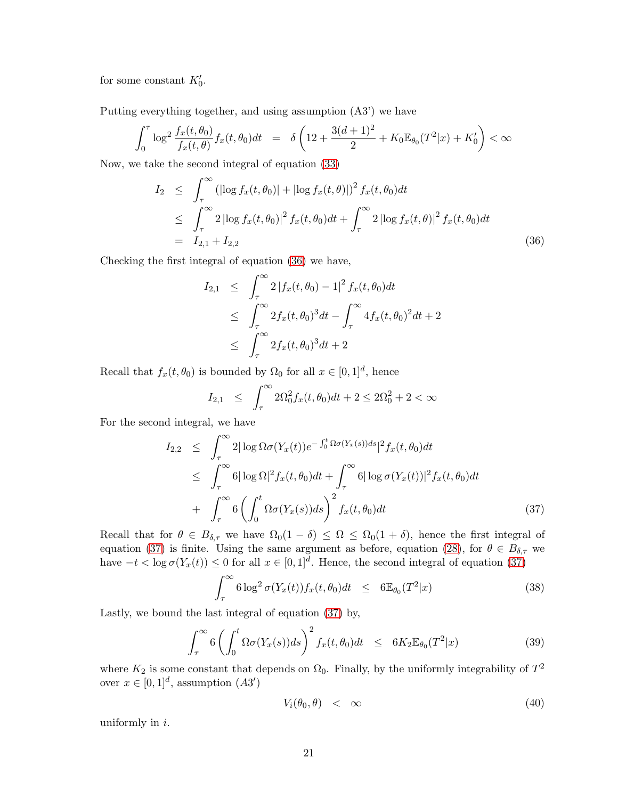for some constant  $K'_0$ .

Putting everything together, and using assumption (A3') we have

$$
\int_0^{\tau} \log^2 \frac{f_x(t, \theta_0)}{f_x(t, \theta)} f_x(t, \theta_0) dt = \delta \left( 12 + \frac{3(d+1)^2}{2} + K_0 \mathbb{E}_{\theta_0}(T^2|x) + K_0' \right) < \infty
$$

Now, we take the second integral of equation [\(33\)](#page-19-0)

<span id="page-21-0"></span>
$$
I_2 \leq \int_{\tau}^{\infty} (|\log f_x(t, \theta_0)| + |\log f_x(t, \theta)|)^2 f_x(t, \theta_0) dt
$$
  
\n
$$
\leq \int_{\tau}^{\infty} 2 |\log f_x(t, \theta_0)|^2 f_x(t, \theta_0) dt + \int_{\tau}^{\infty} 2 |\log f_x(t, \theta)|^2 f_x(t, \theta_0) dt
$$
  
\n
$$
= I_{2,1} + I_{2,2}
$$
\n(36)

Checking the first integral of equation [\(36\)](#page-21-0) we have,

$$
I_{2,1} \leq \int_{\tau}^{\infty} 2 |f_x(t, \theta_0) - 1|^2 f_x(t, \theta_0) dt
$$
  
\n
$$
\leq \int_{\tau}^{\infty} 2 f_x(t, \theta_0)^3 dt - \int_{\tau}^{\infty} 4 f_x(t, \theta_0)^2 dt + 2
$$
  
\n
$$
\leq \int_{\tau}^{\infty} 2 f_x(t, \theta_0)^3 dt + 2
$$

Recall that  $f_x(t, \theta_0)$  is bounded by  $\Omega_0$  for all  $x \in [0, 1]^d$ , hence

$$
I_{2,1} \leq \int_{\tau}^{\infty} 2\Omega_0^2 f_x(t,\theta_0) dt + 2 \leq 2\Omega_0^2 + 2 < \infty
$$

For the second integral, we have

<span id="page-21-1"></span>
$$
I_{2,2} \leq \int_{\tau}^{\infty} 2|\log \Omega \sigma(Y_x(t))e^{-\int_0^t \Omega \sigma(Y_x(s))ds}|^2 f_x(t,\theta_0) dt
$$
  
\n
$$
\leq \int_{\tau}^{\infty} 6|\log \Omega|^2 f_x(t,\theta_0) dt + \int_{\tau}^{\infty} 6|\log \sigma(Y_x(t))|^2 f_x(t,\theta_0) dt
$$
  
\n
$$
+ \int_{\tau}^{\infty} 6\left(\int_0^t \Omega \sigma(Y_x(s))ds\right)^2 f_x(t,\theta_0) dt
$$
\n(37)

Recall that for  $\theta \in B_{\delta,\tau}$  we have  $\Omega_0(1-\delta) \leq \Omega \leq \Omega_0(1+\delta)$ , hence the first integral of equation [\(37\)](#page-21-1) is finite. Using the same argument as before, equation [\(28\)](#page-17-0), for  $\theta \in B_{\delta,\tau}$  we have  $-t < \log \sigma(Y_x(t)) \leq 0$  for all  $x \in [0,1]^d$ . Hence, the second integral of equation [\(37\)](#page-21-1)

$$
\int_{\tau}^{\infty} 6 \log^2 \sigma(Y_x(t)) f_x(t, \theta_0) dt \leq 6 \mathbb{E}_{\theta_0}(T^2 | x)
$$
\n(38)

Lastly, we bound the last integral of equation [\(37\)](#page-21-1) by,

$$
\int_{\tau}^{\infty} 6 \left( \int_{0}^{t} \Omega \sigma(Y_x(s)) ds \right)^2 f_x(t, \theta_0) dt \leq 6K_2 \mathbb{E}_{\theta_0}(T^2 | x)
$$
\n(39)

where  $K_2$  is some constant that depends on  $\Omega_0$ . Finally, by the uniformly integrability of  $T^2$ over  $x \in [0,1]^d$ , assumption  $(A3')$ 

$$
V_i(\theta_0, \theta) < \infty \tag{40}
$$

uniformly in  $i$ .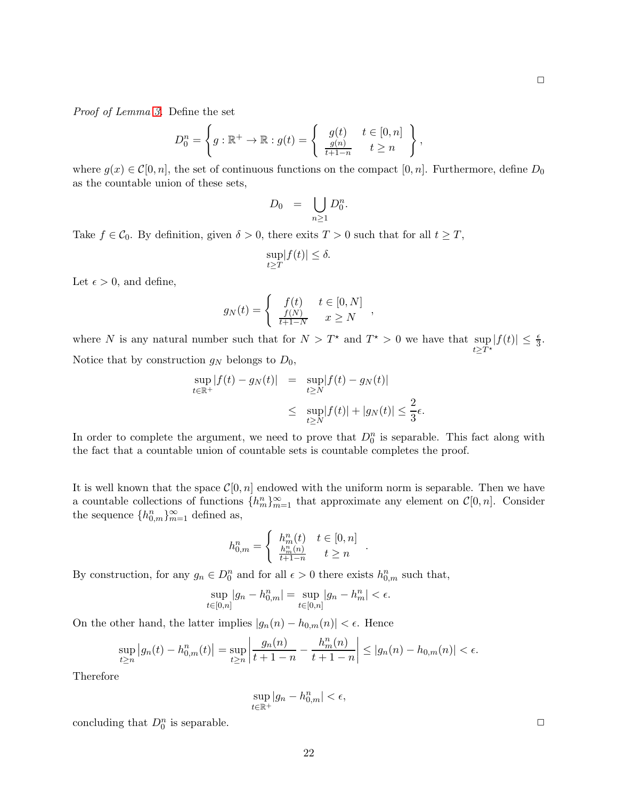*Proof of Lemma [3.](#page-5-4)* Define the set

$$
D_0^n = \left\{ g : \mathbb{R}^+ \to \mathbb{R} : g(t) = \left\{ \begin{array}{ll} g(t) & t \in [0, n] \\ \frac{g(n)}{t+1-n} & t \geq n \end{array} \right\},\right\}
$$

where  $g(x) \in \mathcal{C}[0,n]$ , the set of continuous functions on the compact  $[0,n]$ . Furthermore, define  $D_0$ as the countable union of these sets,

$$
D_0 = \bigcup_{n \geq 1} D_0^n.
$$

Take  $f \in \mathcal{C}_0$ . By definition, given  $\delta > 0$ , there exits  $T > 0$  such that for all  $t \geq T$ ,

$$
\sup_{t \ge T} |f(t)| \le \delta.
$$

Let  $\epsilon > 0$ , and define,

$$
g_N(t) = \begin{cases} f(t) & t \in [0, N] \\ \frac{f(N)}{t+1-N} & x \ge N \end{cases}
$$

where N is any natural number such that for  $N > T^*$  and  $T^* > 0$  we have that sup  $t \geq T^*$  $|f(t)| \leq \frac{\epsilon}{3}.$ Notice that by construction  $g_N$  belongs to  $D_0$ ,

$$
\sup_{t \in \mathbb{R}^+} |f(t) - g_N(t)| = \sup_{t \ge N} |f(t) - g_N(t)|
$$
  

$$
\le \sup_{t \ge N} |f(t)| + |g_N(t)| \le \frac{2}{3}\epsilon.
$$

In order to complete the argument, we need to prove that  $D_0^n$  is separable. This fact along with the fact that a countable union of countable sets is countable completes the proof.

It is well known that the space  $\mathcal{C}[0,n]$  endowed with the uniform norm is separable. Then we have a countable collections of functions  $\{h_m^n\}_{m=1}^{\infty}$  that approximate any element on  $\mathcal{C}[0,n]$ . Consider the sequence  $\{h_{0,m}^n\}_{m=1}^{\infty}$  defined as,

.

$$
h_{0,m}^n = \begin{cases} h_m^n(t) & t \in [0,n] \\ \frac{h_m^n(n)}{t+1-n} & t \ge n \end{cases}
$$

By construction, for any  $g_n \in D_0^n$  and for all  $\epsilon > 0$  there exists  $h_{0,m}^n$  such that,

$$
\sup_{t \in [0,n]} |g_n - h_{0,m}^n| = \sup_{t \in [0,n]} |g_n - h_m^n| < \epsilon.
$$

On the other hand, the latter implies  $|g_n(n) - h_{0,m}(n)| < \epsilon$ . Hence

$$
\sup_{t\geq n} |g_n(t) - h_{0,m}^n(t)| = \sup_{t\geq n} \left| \frac{g_n(n)}{t+1-n} - \frac{h_m^n(n)}{t+1-n} \right| \leq |g_n(n) - h_{0,m}(n)| < \epsilon.
$$

Therefore

$$
\sup_{t\in\mathbb{R}^+}|g_n - h_{0,m}^n| < \epsilon,
$$

concluding that  $D_0^n$  is separable.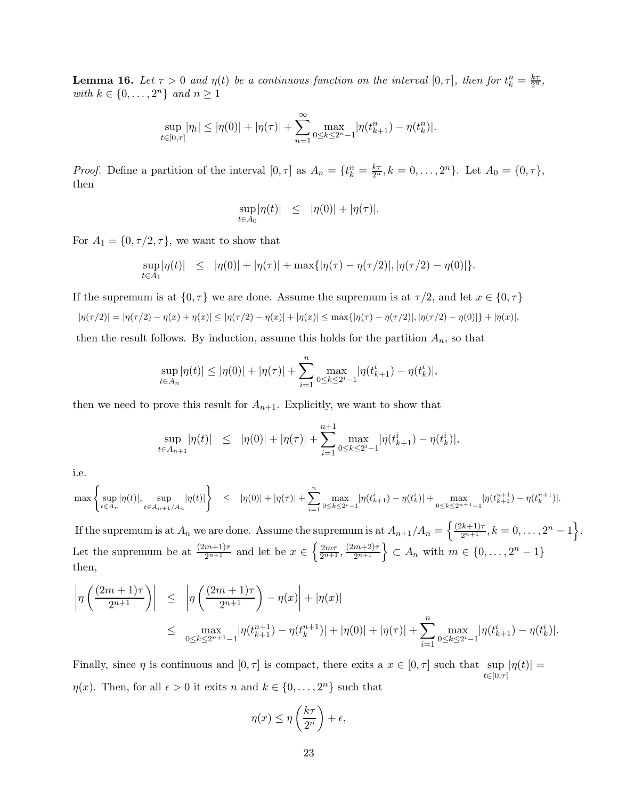<span id="page-23-0"></span>**Lemma 16.** Let  $\tau > 0$  and  $\eta(t)$  be a continuous function on the interval  $[0, \tau]$ , then for  $t_k^n = \frac{k\tau}{2^n}$ , *with*  $k \in \{0, \ldots, 2^n\}$  *and*  $n \geq 1$ 

$$
\sup_{t\in[0,\tau]}|\eta_t| \le |\eta(0)| + |\eta(\tau)| + \sum_{n=1}^{\infty} \max_{0\le k\le 2^n-1} |\eta(t_{k+1}^n) - \eta(t_k^n)|.
$$

*Proof.* Define a partition of the interval  $[0, \tau]$  as  $A_n = \{t_k^n = \frac{k\tau}{2^n}, k = 0, \ldots, 2^n\}$ . Let  $A_0 = \{0, \tau\}$ , then

$$
\sup_{t\in A_0} |\eta(t)| \leq |\eta(0)| + |\eta(\tau)|.
$$

For  $A_1 = \{0, \tau/2, \tau\}$ , we want to show that

$$
\sup_{t \in A_1} |\eta(t)| \leq |\eta(0)| + |\eta(\tau)| + \max\{|\eta(\tau) - \eta(\tau/2)|, |\eta(\tau/2) - \eta(0)|\}.
$$

If the supremum is at  $\{0, \tau\}$  we are done. Assume the supremum is at  $\tau/2$ , and let  $x \in \{0, \tau\}$ 

 $|\eta(\tau/2)| = |\eta(\tau/2) - \eta(x) + \eta(x)| \leq |\eta(\tau/2) - \eta(x)| + |\eta(x)| \leq \max{\{|\eta(\tau) - \eta(\tau/2)|, |\eta(\tau/2) - \eta(0)|\}} + |\eta(x)|,$ 

then the result follows. By induction, assume this holds for the partition  $A_n$ , so that

$$
\sup_{t \in A_n} |\eta(t)| \le |\eta(0)| + |\eta(\tau)| + \sum_{i=1}^n \max_{0 \le k \le 2^i-1} |\eta(t_{k+1}^i) - \eta(t_k^i)|,
$$

then we need to prove this result for  $A_{n+1}$ . Explicitly, we want to show that

$$
\sup_{t \in A_{n+1}} |\eta(t)| \leq |\eta(0)| + |\eta(\tau)| + \sum_{i=1}^{n+1} \max_{0 \leq k \leq 2^{i}-1} |\eta(t_{k+1}^{i}) - \eta(t_k^{i})|,
$$

i.e.

$$
\max\left\{\sup_{t\in A_n}|\eta(t)|,\sup_{t\in A_{n+1}/A_n}|\eta(t)|\right\}\quad\leq\quad |\eta(0)|+|\eta(\tau)|+\sum_{i=1}^n\max_{0\leq k\leq 2^i-1}|\eta(t^i_{k+1})-\eta(t^i_k)|+\max_{0\leq k\leq 2^{n+1}-1}|\eta(t^{n+1}_{k+1})-\eta(t^{n+1}_k)|.
$$

If the supremum is at  $A_n$  we are done. Assume the supremum is at  $A_{n+1}/A_n = \left\{\frac{(2k+1)\tau}{2^{n+1}}, k=0,\ldots,2^n-1\right\}$ . Let the supremum be at  $\frac{(2m+1)\tau}{2^{n+1}}$  and let be  $x \in \left\{ \frac{2m\tau}{2^{n+1}}, \frac{(2m+2)\tau}{2^{n+1}} \right\} \subset A_n$  with  $m \in \{0, \ldots, 2^n - 1\}$ then,

$$
\left| \eta \left( \frac{(2m+1)\tau}{2^{n+1}} \right) \right| \leq \left| \eta \left( \frac{(2m+1)\tau}{2^{n+1}} \right) - \eta(x) \right| + |\eta(x)|
$$
  

$$
\leq \max_{0 \leq k \leq 2^{n+1}-1} |\eta(t_{k+1}^{n+1}) - \eta(t_k^{n+1})| + |\eta(0)| + |\eta(\tau)| + \sum_{i=1}^n \max_{0 \leq k \leq 2^i-1} |\eta(t_{k+1}^i) - \eta(t_k^i)|.
$$

Finally, since  $\eta$  is continuous and  $[0, \tau]$  is compact, there exits a  $x \in [0, \tau]$  such that sup  $|\eta(t)| =$  $t \in [0,\tau]$  $\eta(x)$ . Then, for all  $\epsilon > 0$  it exits n and  $k \in \{0, \ldots, 2^n\}$  such that

$$
\eta(x) \le \eta\left(\frac{k\tau}{2^n}\right) + \epsilon,
$$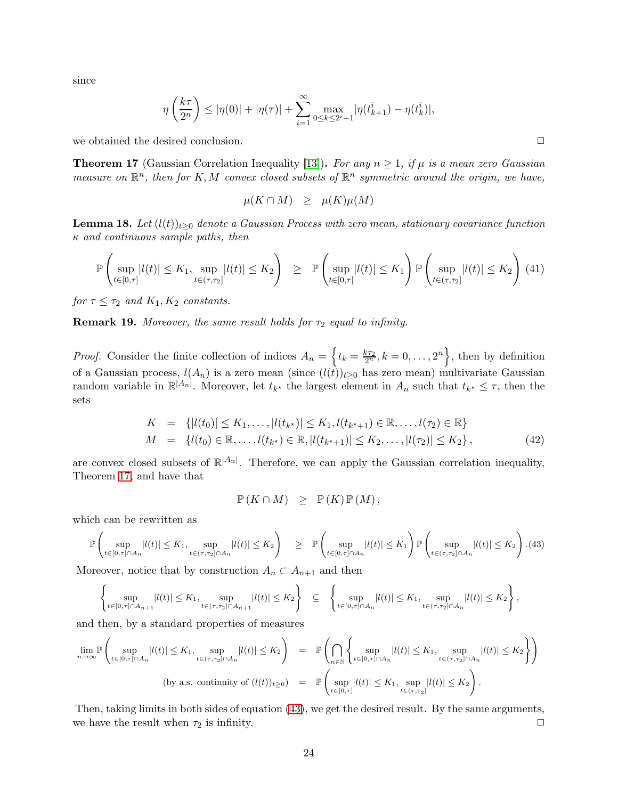since

$$
\eta\left(\frac{k\tau}{2^n}\right) \le |\eta(0)| + |\eta(\tau)| + \sum_{i=1}^{\infty} \max_{0 \le k \le 2^i-1} |\eta(t_{k+1}^i) - \eta(t_k^i)|,
$$

we obtained the desired conclusion.  $\Box$ 

<span id="page-24-0"></span>**Theorem 17** (Gaussian Correlation Inequality [\[13\]](#page-31-15)). For any  $n \geq 1$ , if  $\mu$  is a mean zero Gaussian *measure on*  $\mathbb{R}^n$ , then for K, M convex closed subsets of  $\mathbb{R}^n$  symmetric around the origin, we have,

$$
\mu(K \cap M) \geq \mu(K)\mu(M)
$$

<span id="page-24-2"></span>**Lemma 18.** Let  $(l(t))_{t\geq0}$  denote a Gaussian Process with zero mean, stationary covariance function κ *and continuous sample paths, then*

$$
\mathbb{P}\left(\sup_{t\in[0,\tau]}|l(t)|\leq K_1,\sup_{t\in(\tau,\tau_2]}|l(t)|\leq K_2\right) \geq \mathbb{P}\left(\sup_{t\in[0,\tau]}|l(t)|\leq K_1\right)\mathbb{P}\left(\sup_{t\in(\tau,\tau_2]}|l(t)|\leq K_2\right) (41)
$$

*for*  $\tau \leq \tau_2$  *and*  $K_1, K_2$  *constants.* 

**Remark 19.** *Moreover, the same result holds for*  $\tau_2$  *equal to infinity.* 

*Proof.* Consider the finite collection of indices  $A_n = \left\{ t_k = \frac{k\tau_2}{2^n}, k = 0, \ldots, 2^n \right\}$ , then by definition of a Gaussian process,  $l(A_n)$  is a zero mean (since  $(l(t))_{t\geq0}$  has zero mean) multivariate Gaussian random variable in  $\mathbb{R}^{|A_n|}$ . Moreover, let  $t_{k^*}$  the largest element in  $A_n$  such that  $t_{k^*} \leq \tau$ , then the sets

$$
K = \{|l(t_0)| \le K_1, \ldots, |l(t_{k^*})| \le K_1, l(t_{k^*+1}) \in \mathbb{R}, \ldots, l(\tau_2) \in \mathbb{R}\}
$$
  
\n
$$
M = \{l(t_0) \in \mathbb{R}, \ldots, l(t_{k^*}) \in \mathbb{R}, |l(t_{k^*+1})| \le K_2, \ldots, |l(\tau_2)| \le K_2\},
$$
\n
$$
(42)
$$

are convex closed subsets of  $\mathbb{R}^{|A_n|}$ . Therefore, we can apply the Gaussian correlation inequality, Theorem [17,](#page-24-0) and have that

$$
\mathbb{P}(K \cap M) \geq \mathbb{P}(K) \mathbb{P}(M),
$$

which can be rewritten as

<span id="page-24-1"></span>
$$
\mathbb{P}\left(\sup_{t\in[0,\tau]\cap A_n}|l(t)|\leq K_1,\sup_{t\in(\tau,\tau_2]\cap A_n}|l(t)|\leq K_2\right) \quad \geq \quad \mathbb{P}\left(\sup_{t\in[0,\tau]\cap A_n}|l(t)|\leq K_1\right)\mathbb{P}\left(\sup_{t\in(\tau,\tau_2]\cap A_n}|l(t)|\leq K_2\right). \tag{43}
$$

Moreover, notice that by construction  $A_n \subset A_{n+1}$  and then

$$
\left\{\sup_{t\in[0,\tau]\cap A_{n+1}}|l(t)|\leq K_1,\sup_{t\in(\tau,\tau_2]\cap A_{n+1}}|l(t)|\leq K_2\right\}\quad\subseteq\quad\left\{\sup_{t\in[0,\tau]\cap A_n}|l(t)|\leq K_1,\sup_{t\in(\tau,\tau_2]\cap A_n}|l(t)|\leq K_2\right\},\right\}
$$

and then, by a standard properties of measures

$$
\lim_{n\to\infty} \mathbb{P}\left(\sup_{t\in[0,\tau]\cap A_n} |l(t)| \leq K_1, \sup_{t\in(\tau,\tau_2]\cap A_n} |l(t)| \leq K_2\right) = \mathbb{P}\left(\bigcap_{n\in\mathbb{N}} \left\{\sup_{t\in[0,\tau]\cap A_n} |l(t)| \leq K_1, \sup_{t\in(\tau,\tau_2]\cap A_n} |l(t)| \leq K_2\right\}\right)
$$
\n(by a.s. continuity of  $(l(t))_{t\geq 0}$ ) =  $\mathbb{P}\left(\sup_{t\in[0,\tau]} |l(t)| \leq K_1, \sup_{t\in(\tau,\tau_2]} |l(t)| \leq K_2\right).$ 

Then, taking limits in both sides of equation [\(43\)](#page-24-1), we get the desired result. By the same arguments, we have the result when  $\tau_2$  is infinity.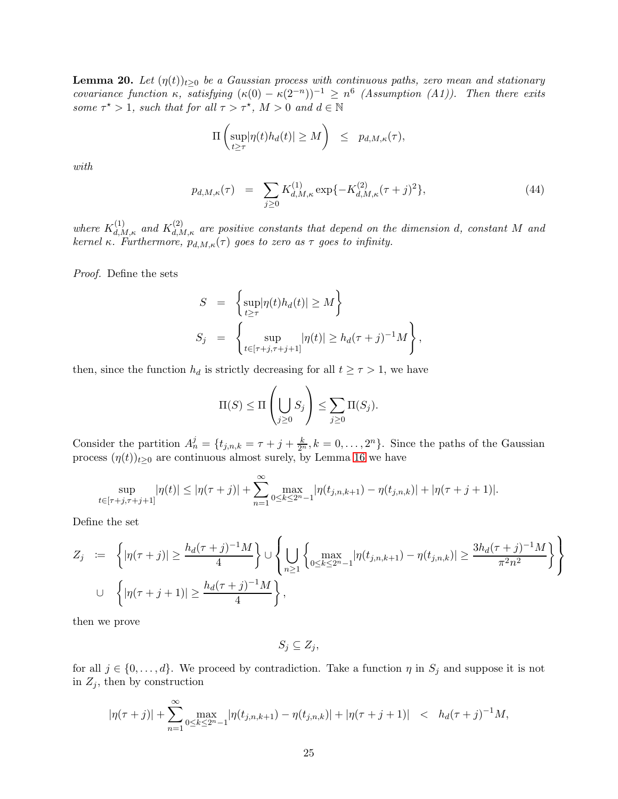<span id="page-25-0"></span>**Lemma 20.** Let  $(\eta(t))_{t>0}$  be a Gaussian process with continuous paths, zero mean and stationary *covariance function*  $\kappa$ *, satisfying*  $(\kappa(0) - \kappa(2^{-n}))^{-1} \ge n^6$  (Assumption (A1)). Then there exits *some*  $\tau^* > 1$ *, such that for all*  $\tau > \tau^*$ *,*  $M > 0$  *and*  $d \in \mathbb{N}$ 

$$
\Pi\left(\sup_{t\geq \tau} |\eta(t)h_d(t)| \geq M\right) \leq p_{d,M,\kappa}(\tau),
$$

*with*

<span id="page-25-1"></span>
$$
p_{d,M,\kappa}(\tau) = \sum_{j\geq 0} K_{d,M,\kappa}^{(1)} \exp\{-K_{d,M,\kappa}^{(2)}(\tau+j)^2\},\tag{44}
$$

where  $K_{d,M,\kappa}^{(1)}$  and  $K_{d,M,\kappa}^{(2)}$  are positive constants that depend on the dimension d, constant M and *kernel*  $\kappa$ *. Furthermore,*  $p_{d,M,\kappa}(\tau)$  goes to zero as  $\tau$  goes to infinity.

*Proof.* Define the sets

$$
S = \left\{ \sup_{t \ge \tau} |\eta(t)h_d(t)| \ge M \right\}
$$
  

$$
S_j = \left\{ \sup_{t \in [\tau+j, \tau+j+1]} |\eta(t)| \ge h_d(\tau+j)^{-1}M \right\},\
$$

then, since the function  $h_d$  is strictly decreasing for all  $t \geq \tau > 1$ , we have

$$
\Pi(S) \le \Pi\left(\bigcup_{j\ge 0} S_j\right) \le \sum_{j\ge 0} \Pi(S_j).
$$

Consider the partition  $A_n^j = \{t_{j,n,k} = \tau + j + \frac{k}{2^n}, k = 0, \ldots, 2^n\}$ . Since the paths of the Gaussian process  $(\eta(t))_{t\geq0}$  are continuous almost surely, by Lemma [16](#page-23-0) we have

$$
\sup_{t\in[\tau+j,\tau+j+1]}|\eta(t)| \le |\eta(\tau+j)| + \sum_{n=1}^{\infty} \max_{0\le k\le 2^{n}-1} |\eta(t_{j,n,k+1}) - \eta(t_{j,n,k})| + |\eta(\tau+j+1)|.
$$

Define the set

$$
Z_j := \left\{ |\eta(\tau + j)| \ge \frac{h_d(\tau + j)^{-1}M}{4} \right\} \cup \left\{ \bigcup_{n \ge 1} \left\{ \max_{0 \le k \le 2^n - 1} |\eta(t_{j,n,k+1}) - \eta(t_{j,n,k})| \ge \frac{3h_d(\tau + j)^{-1}M}{\pi^2 n^2} \right\} \right\}
$$
  
U  $\left\{ |\eta(\tau + j + 1)| \ge \frac{h_d(\tau + j)^{-1}M}{4} \right\},$ 

then we prove

 $S_j \subseteq Z_j$ 

for all  $j \in \{0, \ldots, d\}$ . We proceed by contradiction. Take a function  $\eta$  in  $S_j$  and suppose it is not in  $Z_i$ , then by construction

$$
|\eta(\tau+j)| + \sum_{n=1}^{\infty} \max_{0 \le k \le 2^n-1} |\eta(t_{j,n,k+1}) - \eta(t_{j,n,k})| + |\eta(\tau+j+1)| \le h_d(\tau+j)^{-1}M,
$$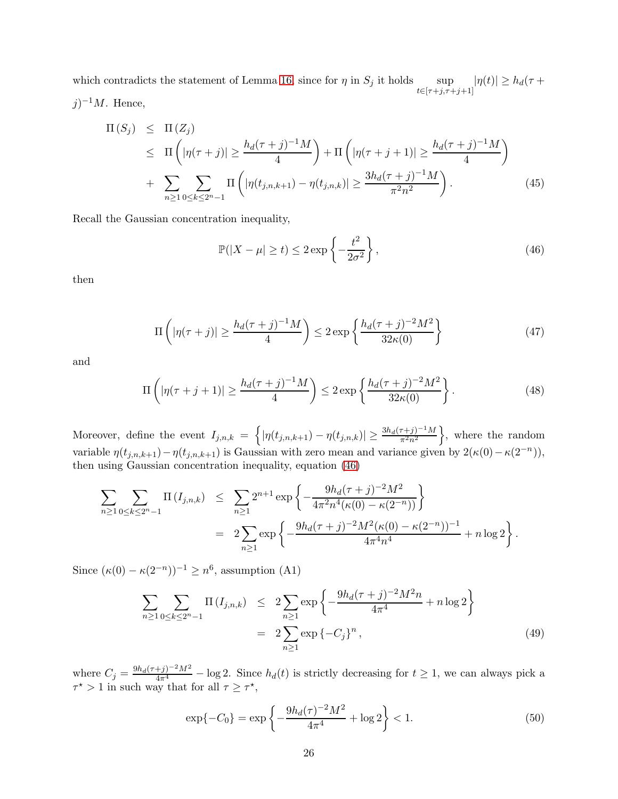which contradicts the statement of Lemma [16,](#page-23-0) since for  $\eta$  in  $S_j$  it holds sup  $t \in [\tau + j, \tau + j + 1]$  $|\eta(t)| \geq h_d(\tau +$  $j)^{-1}M$ . Hence,

<span id="page-26-4"></span>
$$
\Pi(S_j) \leq \Pi(Z_j) \n\leq \Pi\left(|\eta(\tau+j)| \geq \frac{h_d(\tau+j)^{-1}M}{4}\right) + \Pi\left(|\eta(\tau+j+1)| \geq \frac{h_d(\tau+j)^{-1}M}{4}\right) \n+ \sum_{n \geq 1} \sum_{0 \leq k \leq 2^n - 1} \Pi\left(|\eta(t_{j,n,k+1}) - \eta(t_{j,n,k})| \geq \frac{3h_d(\tau+j)^{-1}M}{\pi^2 n^2}\right).
$$
\n(45)

Recall the Gaussian concentration inequality,

<span id="page-26-0"></span>
$$
\mathbb{P}(|X - \mu| \ge t) \le 2 \exp\left\{-\frac{t^2}{2\sigma^2}\right\},\tag{46}
$$

then

<span id="page-26-2"></span>
$$
\Pi\left(|\eta(\tau+j)|\geq \frac{h_d(\tau+j)^{-1}M}{4}\right)\leq 2\exp\left\{\frac{h_d(\tau+j)^{-2}M^2}{32\kappa(0)}\right\}\tag{47}
$$

and

<span id="page-26-3"></span>
$$
\Pi\left(|\eta(\tau+j+1)| \ge \frac{h_d(\tau+j)^{-1}M}{4}\right) \le 2\exp\left\{\frac{h_d(\tau+j)^{-2}M^2}{32\kappa(0)}\right\}.
$$
\n(48)

Moreover, define the event  $I_{j,n,k} = \left\{ |\eta(t_{j,n,k+1}) - \eta(t_{j,n,k})| \geq \frac{3h_d(\tau+j)^{-1}M}{\pi^2n^2} \right\}$ , where the random variable  $\eta(t_{j,n,k+1}) - \eta(t_{j,n,k+1})$  is Gaussian with zero mean and variance given by  $2(\kappa(0) - \kappa(2^{-n})),$ then using Gaussian concentration inequality, equation [\(46\)](#page-26-0)

$$
\sum_{n\geq 1} \sum_{0\leq k\leq 2^n-1} \Pi(I_{j,n,k}) \leq \sum_{n\geq 1} 2^{n+1} \exp\left\{-\frac{9h_d(\tau+j)^{-2}M^2}{4\pi^2n^4(\kappa(0)-\kappa(2^{-n}))}\right\}
$$
  
= 
$$
2\sum_{n\geq 1} \exp\left\{-\frac{9h_d(\tau+j)^{-2}M^2(\kappa(0)-\kappa(2^{-n}))^{-1}}{4\pi^4n^4}+n\log 2\right\}.
$$

Since  $(\kappa(0) - \kappa(2^{-n}))^{-1} \ge n^6$ , assumption (A1)

<span id="page-26-1"></span>
$$
\sum_{n\geq 1} \sum_{0\leq k\leq 2^{n}-1} \Pi(I_{j,n,k}) \leq 2 \sum_{n\geq 1} \exp\left\{-\frac{9h_d(\tau+j)^{-2}M^2n}{4\pi^4} + n\log 2\right\}
$$
  
= 
$$
2 \sum_{n\geq 1} \exp\left\{-C_j\right\}^n,
$$
 (49)

where  $C_j = \frac{9h_d(\tau+j)^{-2}M^2}{4\pi^4} - \log 2$ . Since  $h_d(t)$  is strictly decreasing for  $t \ge 1$ , we can always pick a  $\tau^* > 1$  in such way that for all  $\tau \geq \tau^*$ ,

$$
\exp\{-C_0\} = \exp\left\{-\frac{9h_d(\tau)^{-2}M^2}{4\pi^4} + \log 2\right\} < 1. \tag{50}
$$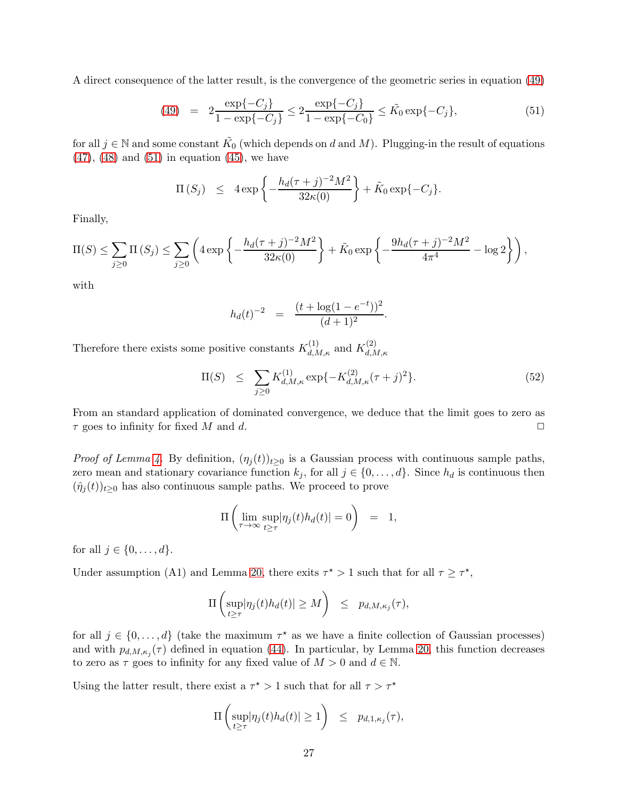A direct consequence of the latter result, is the convergence of the geometric series in equation [\(49\)](#page-26-1)

<span id="page-27-0"></span>(49) = 
$$
2 \frac{\exp\{-C_j\}}{1 - \exp\{-C_j\}} \le 2 \frac{\exp\{-C_j\}}{1 - \exp\{-C_0\}} \le \tilde{K}_0 \exp\{-C_j\},
$$
 (51)

for all  $j \in \mathbb{N}$  and some constant  $\tilde{K_0}$  (which depends on d and M). Plugging-in the result of equations  $(47)$ ,  $(48)$  and  $(51)$  in equation  $(45)$ , we have

$$
\Pi(S_j) \leq 4 \exp \left\{ -\frac{h_d(\tau+j)^{-2}M^2}{32\kappa(0)} \right\} + \tilde{K}_0 \exp \{-C_j \}.
$$

Finally,

$$
\Pi(S) \le \sum_{j\ge 0} \Pi(S_j) \le \sum_{j\ge 0} \left( 4 \exp \left\{ -\frac{h_d(\tau+j)^{-2}M^2}{32\kappa(0)} \right\} + \tilde{K}_0 \exp \left\{ -\frac{9h_d(\tau+j)^{-2}M^2}{4\pi^4} - \log 2 \right\} \right),
$$

with

$$
h_d(t)^{-2} = \frac{(t + \log(1 - e^{-t}))^2}{(d+1)^2}.
$$

Therefore there exists some positive constants  $K_{d,M,\kappa}^{(1)}$  and  $K_{d,\Lambda}^{(2)}$  $_{d,M,\kappa}$ 

$$
\Pi(S) \leq \sum_{j\geq 0} K_{d,M,\kappa}^{(1)} \exp\{-K_{d,M,\kappa}^{(2)}(\tau+j)^2\}.
$$
\n(52)

From an standard application of dominated convergence, we deduce that the limit goes to zero as  $\tau$  goes to infinity for fixed M and d.  $\square$ 

*Proof of Lemma [4.](#page-5-2)* By definition,  $(\eta_i(t))_{t>0}$  is a Gaussian process with continuous sample paths, zero mean and stationary covariance function  $k_j$ , for all  $j \in \{0, \ldots, d\}$ . Since  $h_d$  is continuous then  $(\hat{\eta}_i(t))_{t>0}$  has also continuous sample paths. We proceed to prove

$$
\Pi\left(\lim_{\tau\to\infty}\sup_{t\geq\tau}|\eta_j(t)h_d(t)|=0\right) = 1,
$$

for all  $j \in \{0, \ldots, d\}$ .

Under assumption (A1) and Lemma [20,](#page-25-0) there exits  $\tau^* > 1$  such that for all  $\tau \geq \tau^*$ ,

$$
\Pi\left(\sup_{t\geq\tau}|\eta_j(t)h_d(t)|\geq M\right) \leq p_{d,M,\kappa_j}(\tau),
$$

for all  $j \in \{0, \ldots, d\}$  (take the maximum  $\tau^*$  as we have a finite collection of Gaussian processes) and with  $p_{d,M,\kappa_j}(\tau)$  defined in equation [\(44\)](#page-25-1). In particular, by Lemma [20,](#page-25-0) this function decreases to zero as  $\tau$  goes to infinity for any fixed value of  $M > 0$  and  $d \in \mathbb{N}$ .

Using the latter result, there exist a  $\tau^* > 1$  such that for all  $\tau > \tau^*$ 

$$
\Pi\left(\sup_{t\geq\tau}|\eta_j(t)h_d(t)|\geq 1\right) \leq p_{d,1,\kappa_j}(\tau),
$$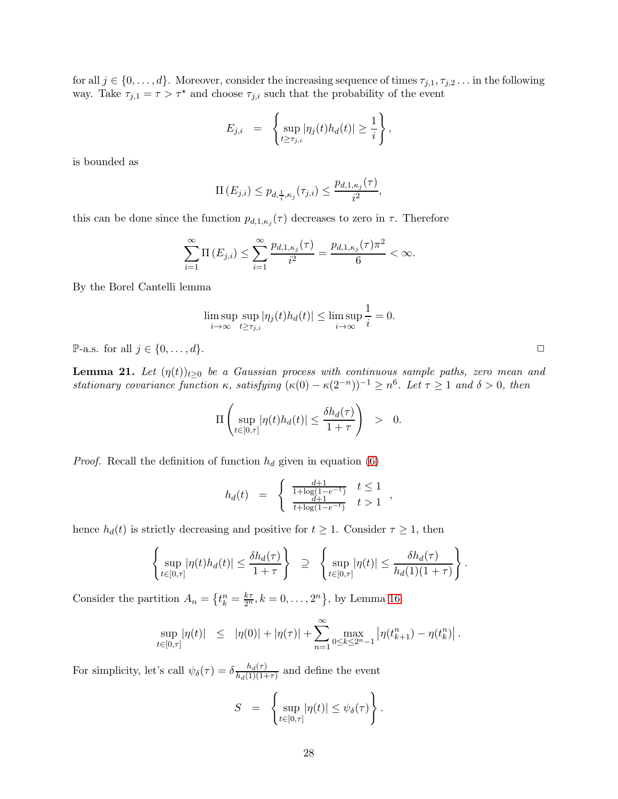for all  $j \in \{0, \ldots, d\}$ . Moreover, consider the increasing sequence of times  $\tau_{j,1}, \tau_{j,2} \ldots$  in the following way. Take  $\tau_{j,1} = \tau > \tau^*$  and choose  $\tau_{j,i}$  such that the probability of the event

$$
E_{j,i} = \left\{ \sup_{t \ge \tau_{j,i}} |\eta_j(t)h_d(t)| \ge \frac{1}{i} \right\},\,
$$

is bounded as

$$
\Pi\left(E_{j,i}\right) \leq p_{d,\frac{1}{i},\kappa_j}(\tau_{j,i}) \leq \frac{p_{d,1,\kappa_j}(\tau)}{i^2},
$$

this can be done since the function  $p_{d,1,\kappa_j}(\tau)$  decreases to zero in  $\tau$ . Therefore

$$
\sum_{i=1}^{\infty} \Pi(E_{j,i}) \le \sum_{i=1}^{\infty} \frac{p_{d,1,\kappa_j}(\tau)}{i^2} = \frac{p_{d,1,\kappa_j}(\tau) \pi^2}{6} < \infty.
$$

By the Borel Cantelli lemma

$$
\limsup_{i \to \infty} \sup_{t \ge \tau_{j,i}} |\eta_j(t) h_d(t)| \le \limsup_{i \to \infty} \frac{1}{i} = 0.
$$

 $\mathbb{P}\text{-a.s.}$  for all  $j \in \{0, \ldots, d\}.$ 

<span id="page-28-0"></span>**Lemma 21.** Let  $(\eta(t))_{t\geq 0}$  be a Gaussian process with continuous sample paths, zero mean and *stationary covariance function*  $\kappa$ *, satisfying*  $(\kappa(0) - \kappa(2^{-n}))^{-1} \ge n^6$ *. Let*  $\tau \ge 1$  *and*  $\delta > 0$ *, then* 

$$
\Pi\left(\sup_{t\in[0,\tau]}|\eta(t)h_d(t)|\leq \frac{\delta h_d(\tau)}{1+\tau}\right) > 0.
$$

*Proof.* Recall the definition of function  $h_d$  given in equation [\(6\)](#page-5-5)

$$
h_d(t) = \begin{cases} \frac{d+1}{1+\log(1-e^{-1})} & t \le 1 \\ \frac{d+1}{t+\log(1-e^{-t})} & t > 1 \end{cases}
$$

hence  $h_d(t)$  is strictly decreasing and positive for  $t \geq 1$ . Consider  $\tau \geq 1$ , then

$$
\left\{\sup_{t\in[0,\tau]}|\eta(t)h_d(t)|\leq \frac{\delta h_d(\tau)}{1+\tau}\right\}\quad\supseteq\quad\left\{\sup_{t\in[0,\tau]}|\eta(t)|\leq \frac{\delta h_d(\tau)}{h_d(1)(1+\tau)}\right\}.
$$

Consider the partition  $A_n = \left\{ t_k^n = \frac{k\tau}{2^n}, k = 0, \ldots, 2^n \right\}$ , by Lemma [16](#page-23-0)

$$
\sup_{t\in[0,\tau]}|\eta(t)| \leq |\eta(0)| + |\eta(\tau)| + \sum_{n=1}^{\infty} \max_{0\leq k\leq 2^n-1} |\eta(t_{k+1}^n) - \eta(t_k^n)|.
$$

For simplicity, let's call  $\psi_{\delta}(\tau) = \delta \frac{h_d(\tau)}{h_d(1)(1+\tau)}$  $\frac{h_d(\tau)}{h_d(1)(1+\tau)}$  and define the event

$$
S = \left\{ \sup_{t \in [0,\tau]} |\eta(t)| \leq \psi_{\delta}(\tau) \right\}.
$$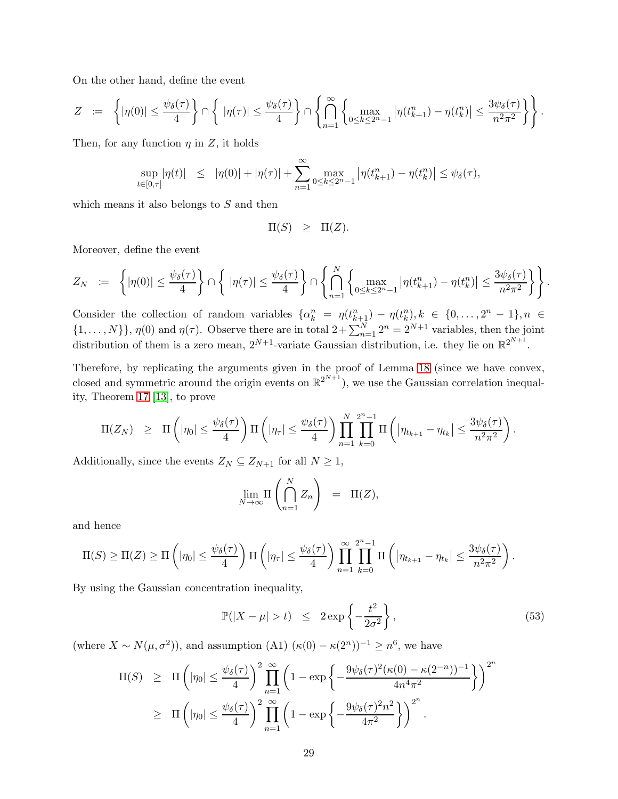On the other hand, define the event

$$
Z \quad := \quad \left\{ |\eta(0)| \leq \frac{\psi_{\delta}(\tau)}{4} \right\} \cap \left\{ \quad |\eta(\tau)| \leq \frac{\psi_{\delta}(\tau)}{4} \right\} \cap \left\{ \bigcap_{n=1}^{\infty} \left\{ \max_{0 \leq k \leq 2^n-1} |\eta(t_{k+1}^n) - \eta(t_k^n)| \leq \frac{3\psi_{\delta}(\tau)}{n^2\pi^2} \right\} \right\}.
$$

Then, for any function  $\eta$  in Z, it holds

$$
\sup_{t\in[0,\tau]}|\eta(t)| \leq |\eta(0)| + |\eta(\tau)| + \sum_{n=1}^{\infty} \max_{0\leq k\leq 2^{n}-1} |\eta(t^{n}_{k+1}) - \eta(t^{n}_{k})| \leq \psi_{\delta}(\tau),
$$

which means it also belongs to  $S$  and then

$$
\Pi(S) \geq \Pi(Z).
$$

Moreover, define the event

$$
Z_N \quad := \quad \left\{ |\eta(0)| \leq \frac{\psi_\delta(\tau)}{4} \right\} \cap \left\{ \ |\eta(\tau)| \leq \frac{\psi_\delta(\tau)}{4} \right\} \cap \left\{ \bigcap_{n=1}^N \left\{ \max_{0 \leq k \leq 2^n-1} |\eta(t_{k+1}^n) - \eta(t_k^n)| \leq \frac{3\psi_\delta(\tau)}{n^2\pi^2} \right\} \right\}.
$$

Consider the collection of random variables  $\{\alpha_k^n = \eta(t_{k+1}^n) - \eta(t_k^n), k \in \{0, ..., 2^n - 1\}, n \in$  $\{1,\ldots,N\}\}\,$ ,  $\eta(0)$  and  $\eta(\tau)$ . Observe there are in total  $2+\sum_{n=1}^{N}2^{n}=2^{N+1}$  variables, then the joint distribution of them is a zero mean,  $2^{N+1}$ -variate Gaussian distribution, i.e. they lie on  $\mathbb{R}^{2^{N+1}}$ .

Therefore, by replicating the arguments given in the proof of Lemma [18](#page-24-2) (since we have convex, closed and symmetric around the origin events on  $\mathbb{R}^{2^{N+1}}$ ), we use the Gaussian correlation inequality, Theorem [17](#page-24-0) [\[13\]](#page-31-15), to prove

$$
\Pi(Z_N) \geq \Pi\left(|\eta_0| \leq \frac{\psi_\delta(\tau)}{4}\right) \Pi\left(|\eta_\tau| \leq \frac{\psi_\delta(\tau)}{4}\right) \prod_{n=1}^N \prod_{k=0}^{2^{n}-1} \Pi\left(|\eta_{t_{k+1}} - \eta_{t_k}| \leq \frac{3\psi_\delta(\tau)}{n^2\pi^2}\right).
$$

Additionally, since the events  $Z_N \subseteq Z_{N+1}$  for all  $N \geq 1$ ,

$$
\lim_{N \to \infty} \Pi \left( \bigcap_{n=1}^{N} Z_n \right) = \Pi(Z),
$$

and hence

$$
\Pi(S) \geq \Pi(Z) \geq \Pi\left(|\eta_0| \leq \frac{\psi_{\delta}(\tau)}{4}\right) \Pi\left(|\eta_{\tau}| \leq \frac{\psi_{\delta}(\tau)}{4}\right) \prod_{n=1}^{\infty} \prod_{k=0}^{2^n-1} \Pi\left(|\eta_{t_{k+1}} - \eta_{t_k}| \leq \frac{3\psi_{\delta}(\tau)}{n^2\pi^2}\right).
$$

By using the Gaussian concentration inequality,

$$
\mathbb{P}(|X - \mu| > t) \le 2 \exp\left\{-\frac{t^2}{2\sigma^2}\right\},\tag{53}
$$

(where  $X \sim N(\mu, \sigma^2)$ ), and assumption (A1)  $(\kappa(0) - \kappa(2^n))^{-1} \geq n^6$ , we have

$$
\Pi(S) \geq \Pi\left(|\eta_0| \leq \frac{\psi_\delta(\tau)}{4}\right)^2 \prod_{n=1}^{\infty} \left(1 - \exp\left\{-\frac{9\psi_\delta(\tau)^2(\kappa(0) - \kappa(2^{-n}))^{-1}}{4n^4\pi^2}\right\}\right)^{2^n}
$$
  
 
$$
\geq \Pi\left(|\eta_0| \leq \frac{\psi_\delta(\tau)}{4}\right)^2 \prod_{n=1}^{\infty} \left(1 - \exp\left\{-\frac{9\psi_\delta(\tau)^2 n^2}{4\pi^2}\right\}\right)^{2^n}.
$$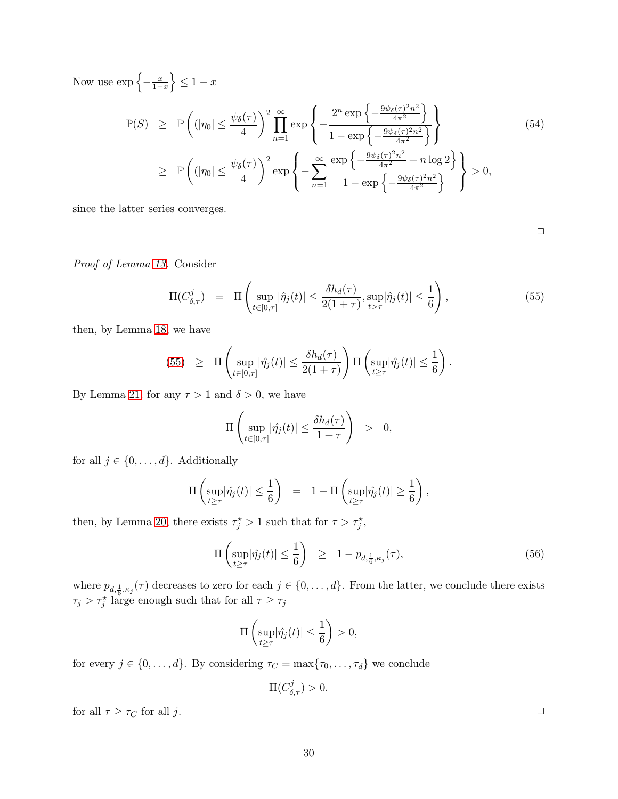Now use  $\exp\left\{-\frac{x}{1-x}\right\}$  $\left\{\frac{x}{1-x}\right\} \leq 1-x$ 

$$
\mathbb{P}(S) \geq \mathbb{P}\left((|\eta_0| \leq \frac{\psi_{\delta}(\tau)}{4})\right)^2 \prod_{n=1}^{\infty} \exp\left\{-\frac{2^n \exp\left\{-\frac{9\psi_{\delta}(\tau)^2 n^2}{4\pi^2}\right\}}{1 - \exp\left\{-\frac{9\psi_{\delta}(\tau)^2 n^2}{4\pi^2}\right\}}\right\}
$$
\n
$$
\geq \mathbb{P}\left((|\eta_0| \leq \frac{\psi_{\delta}(\tau)}{4})\right)^2 \exp\left\{-\sum_{n=1}^{\infty} \frac{\exp\left\{-\frac{9\psi_{\delta}(\tau)^2 n^2}{4\pi^2} + n \log 2\right\}}{1 - \exp\left\{-\frac{9\psi_{\delta}(\tau)^2 n^2}{4\pi^2}\right\}}\right\} > 0,
$$
\n(54)

since the latter series converges.

 $\Box$ 

*Proof of Lemma [13.](#page-10-1)* Consider

<span id="page-30-0"></span>
$$
\Pi(C_{\delta,\tau}^j) = \Pi\left(\sup_{t \in [0,\tau]} |\hat{\eta}_j(t)| \le \frac{\delta h_d(\tau)}{2(1+\tau)}, \sup_{t > \tau} |\hat{\eta}_j(t)| \le \frac{1}{6}\right),\tag{55}
$$

then, by Lemma [18,](#page-24-2) we have

(55) 
$$
\geq \Pi \left( \sup_{t \in [0,\tau]} |\hat{\eta}_j(t)| \leq \frac{\delta h_d(\tau)}{2(1+\tau)} \right) \Pi \left( \sup_{t \geq \tau} |\hat{\eta}_j(t)| \leq \frac{1}{6} \right).
$$

By Lemma [21,](#page-28-0) for any  $\tau > 1$  and  $\delta > 0$ , we have

$$
\Pi\left(\sup_{t\in[0,\tau]}|\hat{\eta}_j(t)|\leq \frac{\delta h_d(\tau)}{1+\tau}\right) > 0,
$$

for all  $j \in \{0, \ldots, d\}$ . Additionally

$$
\Pi\left(\sup_{t\geq\tau}|\hat{\eta_j}(t)|\leq\frac{1}{6}\right) = 1 - \Pi\left(\sup_{t\geq\tau}|\hat{\eta_j}(t)|\geq\frac{1}{6}\right),\,
$$

then, by Lemma [20,](#page-25-0) there exists  $\tau_j^* > 1$  such that for  $\tau > \tau_j^*$ ,

$$
\Pi\left(\sup_{t\geq\tau}|\hat{\eta_j}(t)|\leq\frac{1}{6}\right) \geq 1 - p_{d,\frac{1}{6},\kappa_j}(\tau),\tag{56}
$$

where  $p_{d, \frac{1}{6}, \kappa_j}(\tau)$  decreases to zero for each  $j \in \{0, \ldots, d\}$ . From the latter, we conclude there exists  $\tau_j > \tau_j^*$  large enough such that for all  $\tau \geq \tau_j$ 

$$
\Pi\left(\sup_{t\geq\tau}|\hat{\eta_j}(t)|\leq\frac{1}{6}\right)>0,
$$

for every  $j \in \{0, ..., d\}$ . By considering  $\tau_C = \max\{\tau_0, ..., \tau_d\}$  we conclude

$$
\Pi(C^j_{\delta,\tau})>0.
$$

for all  $\tau \geq \tau_C$  for all j.